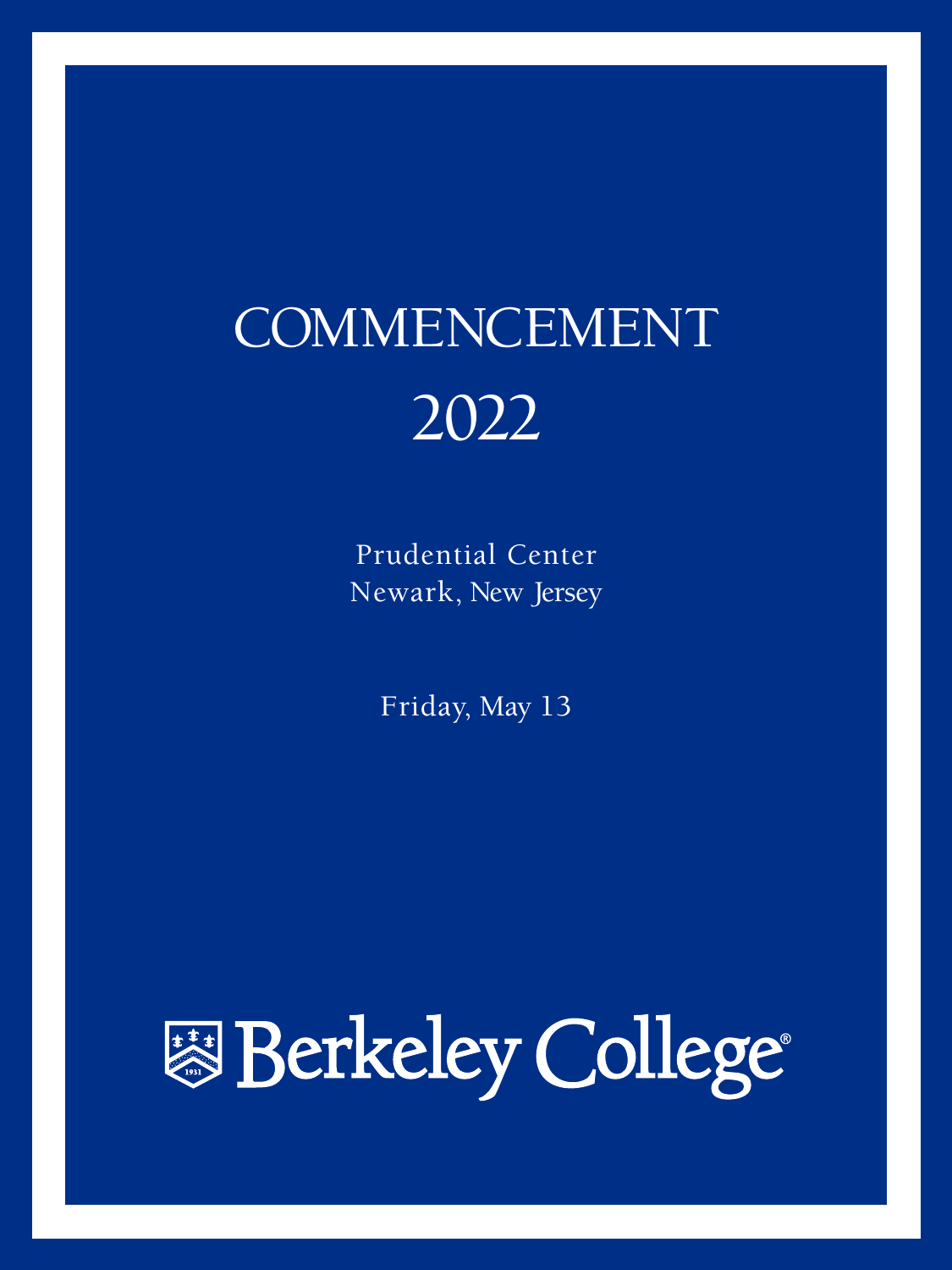# COMMENCEMENT 2022

Prudential Center Newark, New Jersey

Friday, May 13

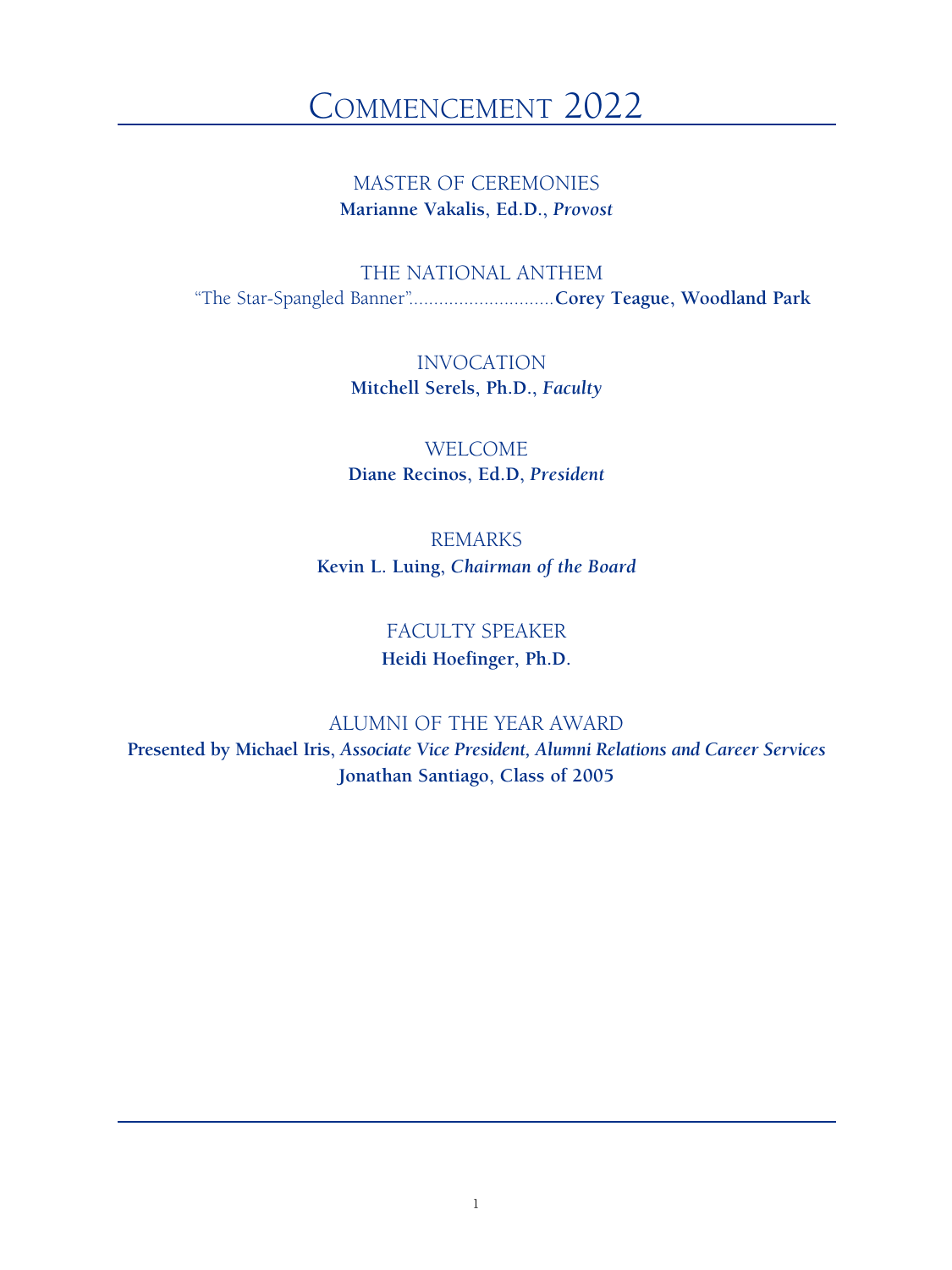# COMMENCEMENT 2022

MASTER OF CEREMONIES **Marianne Vakalis, Ed.D.,** *Provost*

THE NATIONAL ANTHEM "The Star-Spangled Banner".............................**Corey Teague, Woodland Park**

> INVOCATION **Mitchell Serels, Ph.D.,** *Faculty*

WELCOME **Diane Recinos, Ed.D,** *President*

REMARKS **Kevin L. Luing,** *Chairman of the Board*

> FACULTY SPEAKER **Heidi Hoefinger, Ph.D.**

ALUMNI OF THE YEAR AWARD **Presented by Michael Iris,** *Associate Vice President, Alumni Relations and Career Services* **Jonathan Santiago, Class of 2005**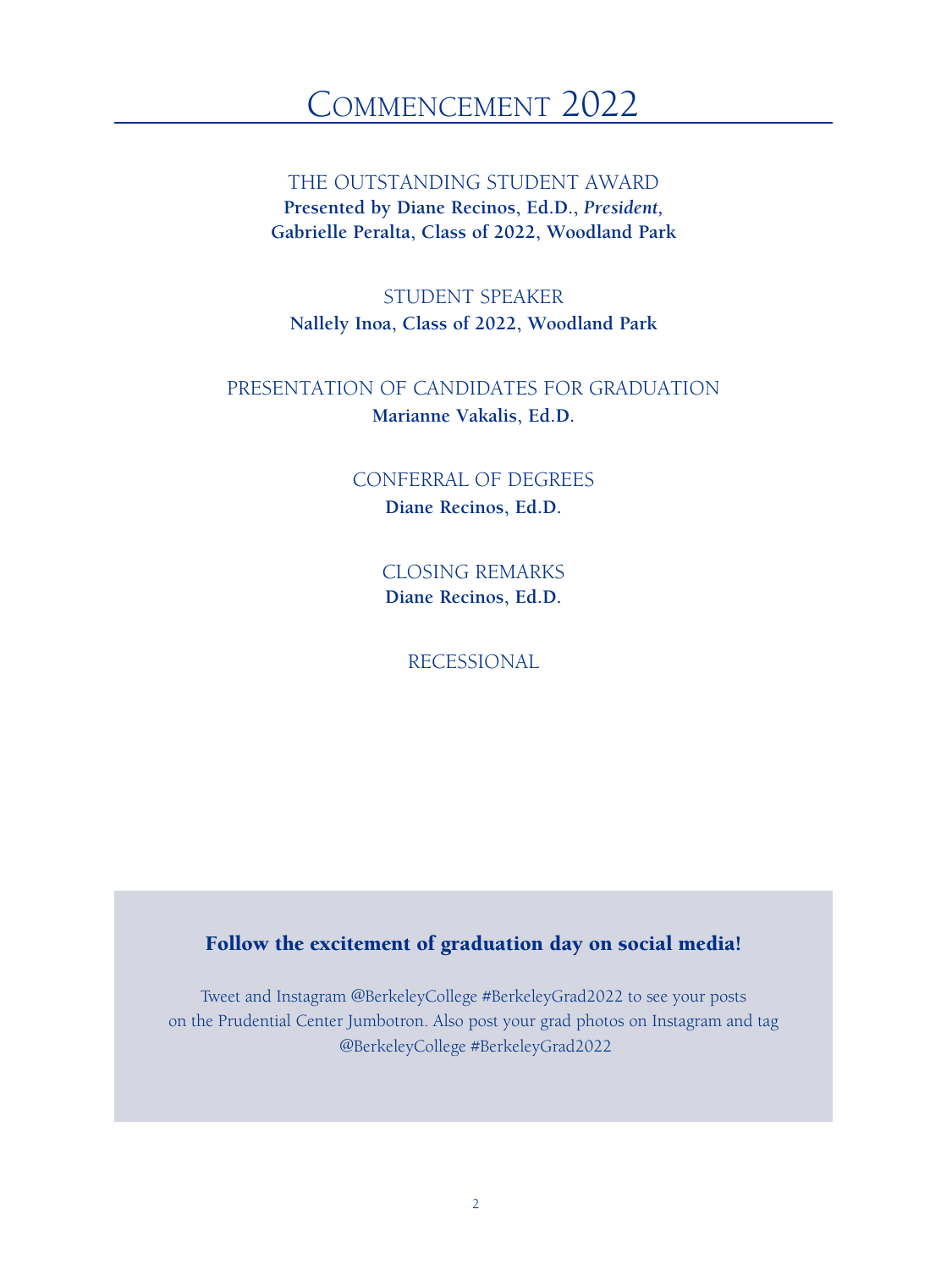# CommenCement 2022

THE OUTSTANDING STUDENT AWARD **Presented by Diane Recinos, Ed.D.,** *President,*  **Gabrielle Peralta, Class of 2022, Woodland Park**

STUDENT SPEAKER **Nallely Inoa, Class of 2022, Woodland Park**

PRESENTATION OF CANDIDATES FOR GRADUATION **Marianne Vakalis, Ed.D.**

> CONFERRAL OF DEGREES **Diane Recinos, Ed.D.**

> > CLOSING REMARKS **Diane Recinos, Ed.D.**

> > > RECESSIONAL

### Follow the excitement of graduation day on social media!

Tweet and Instagram @BerkeleyCollege #BerkeleyGrad2022 to see your posts on the Prudential Center Jumbotron. Also post your grad photos on Instagram and tag @BerkeleyCollege #BerkeleyGrad2022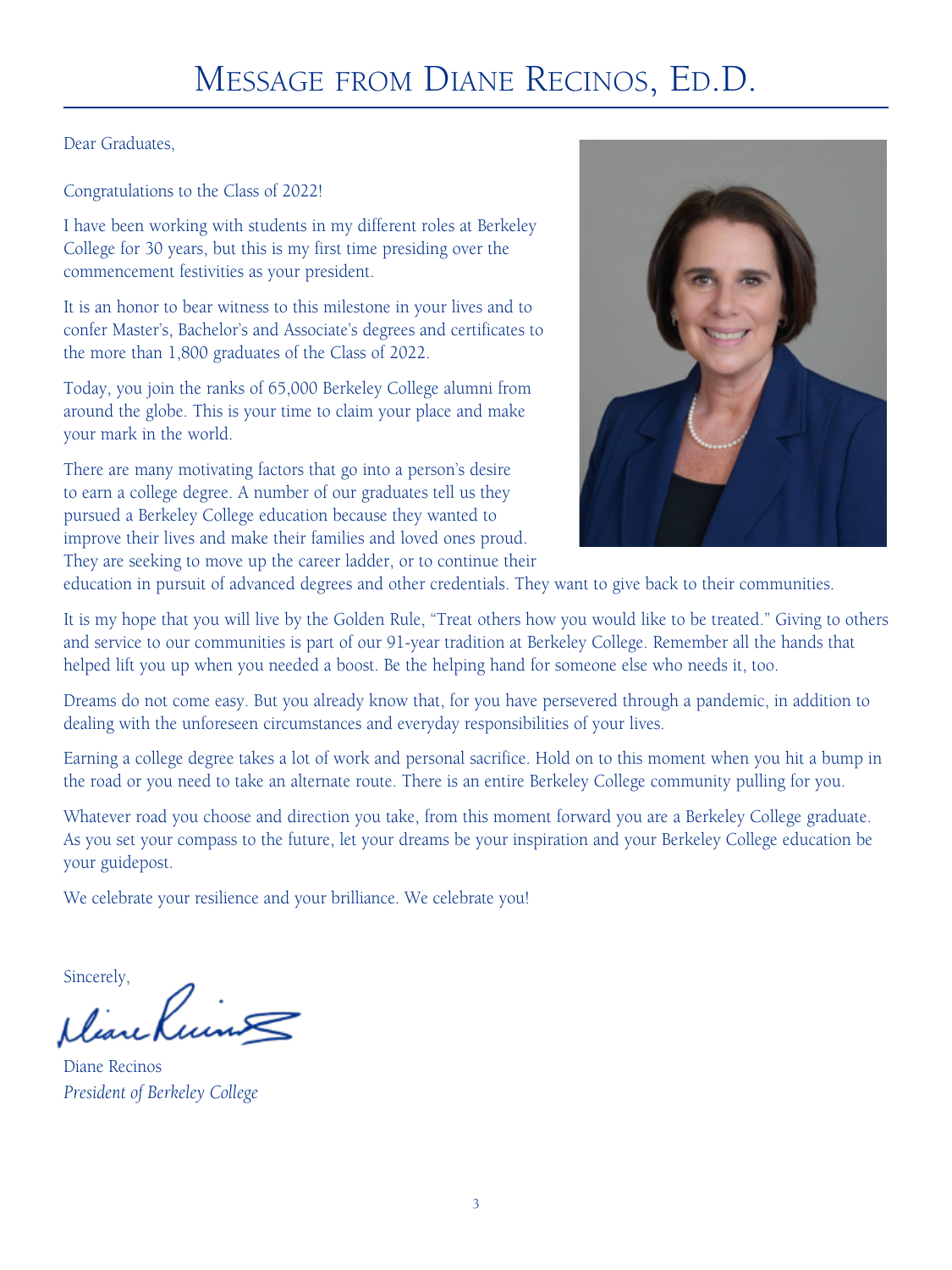Dear Graduates,

Congratulations to the Class of 2022!

I have been working with students in my different roles at Berkeley College for 30 years, but this is my first time presiding over the commencement festivities as your president.

It is an honor to bear witness to this milestone in your lives and to confer Master's, Bachelor's and Associate's degrees and certificates to the more than 1,800 graduates of the Class of 2022.

Today, you join the ranks of 65,000 Berkeley College alumni from around the globe. This is your time to claim your place and make your mark in the world.

There are many motivating factors that go into a person's desire to earn a college degree. A number of our graduates tell us they pursued a Berkeley College education because they wanted to improve their lives and make their families and loved ones proud. They are seeking to move up the career ladder, or to continue their



education in pursuit of advanced degrees and other credentials. They want to give back to their communities.

It is my hope that you will live by the Golden Rule, "Treat others how you would like to be treated." Giving to others and service to our communities is part of our 91-year tradition at Berkeley College. Remember all the hands that helped lift you up when you needed a boost. Be the helping hand for someone else who needs it, too.

Dreams do not come easy. But you already know that, for you have persevered through a pandemic, in addition to dealing with the unforeseen circumstances and everyday responsibilities of your lives.

Earning a college degree takes a lot of work and personal sacrifice. Hold on to this moment when you hit a bump in the road or you need to take an alternate route. There is an entire Berkeley College community pulling for you.

Whatever road you choose and direction you take, from this moment forward you are a Berkeley College graduate. As you set your compass to the future, let your dreams be your inspiration and your Berkeley College education be your guidepost.

We celebrate your resilience and your brilliance. We celebrate you!

Sincerely,

Deare

Diane Recinos *President of Berkeley College*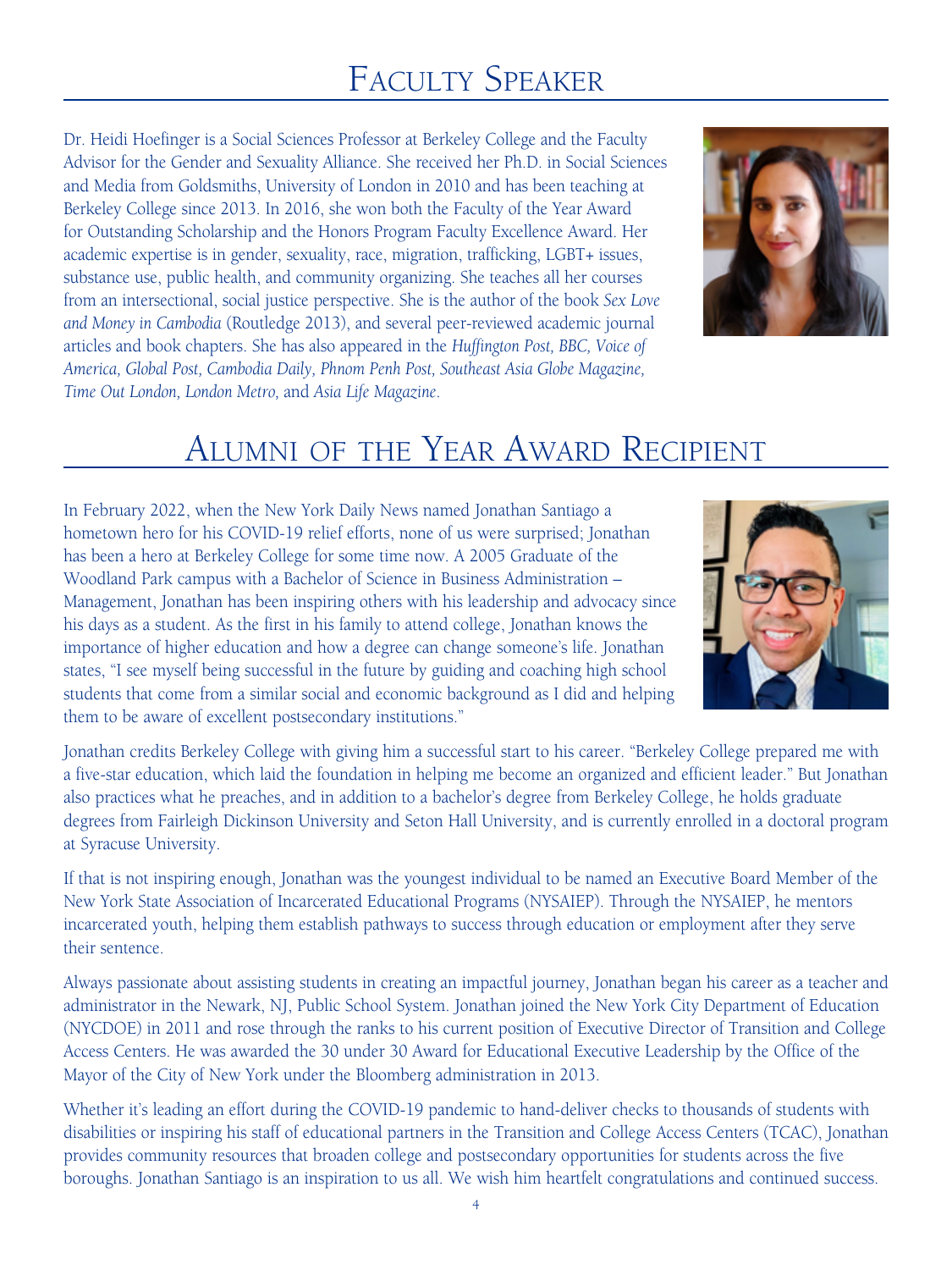# Faculty Speaker

Dr. Heidi Hoefinger is a Social Sciences Professor at Berkeley College and the Faculty Advisor for the Gender and Sexuality Alliance. She received her Ph.D. in Social Sciences and Media from Goldsmiths, University of London in 2010 and has been teaching at Berkeley College since 2013. In 2016, she won both the Faculty of the Year Award for Outstanding Scholarship and the Honors Program Faculty Excellence Award. Her academic expertise is in gender, sexuality, race, migration, trafficking, LGBT+ issues, substance use, public health, and community organizing. She teaches all her courses from an intersectional, social justice perspective. She is the author of the book *Sex Love and Money in Cambodia* (Routledge 2013), and several peer-reviewed academic journal articles and book chapters. She has also appeared in the *Huffington Post, BBC, Voice of America, Global Post, Cambodia Daily, Phnom Penh Post, Southeast Asia Globe Magazine, Time Out London, London Metro,* and *Asia Life Magazine*.



# Alumni of the Year Award Recipient

In February 2022, when the New York Daily News named Jonathan Santiago a hometown hero for his COVID-19 relief efforts, none of us were surprised; Jonathan has been a hero at Berkeley College for some time now. A 2005 Graduate of the Woodland Park campus with a Bachelor of Science in Business Administration – Management, Jonathan has been inspiring others with his leadership and advocacy since his days as a student. As the first in his family to attend college, Jonathan knows the importance of higher education and how a degree can change someone's life. Jonathan states, "I see myself being successful in the future by guiding and coaching high school students that come from a similar social and economic background as I did and helping them to be aware of excellent postsecondary institutions."



Jonathan credits Berkeley College with giving him a successful start to his career. "Berkeley College prepared me with a five-star education, which laid the foundation in helping me become an organized and efficient leader." But Jonathan also practices what he preaches, and in addition to a bachelor's degree from Berkeley College, he holds graduate degrees from Fairleigh Dickinson University and Seton Hall University, and is currently enrolled in a doctoral program at Syracuse University.

If that is not inspiring enough, Jonathan was the youngest individual to be named an Executive Board Member of the New York State Association of Incarcerated Educational Programs (NYSAIEP). Through the NYSAIEP, he mentors incarcerated youth, helping them establish pathways to success through education or employment after they serve their sentence.

Always passionate about assisting students in creating an impactful journey, Jonathan began his career as a teacher and administrator in the Newark, NJ, Public School System. Jonathan joined the New York City Department of Education (NYCDOE) in 2011 and rose through the ranks to his current position of Executive Director of Transition and College Access Centers. He was awarded the 30 under 30 Award for Educational Executive Leadership by the Office of the Mayor of the City of New York under the Bloomberg administration in 2013.

Whether it's leading an effort during the COVID-19 pandemic to hand-deliver checks to thousands of students with disabilities or inspiring his staff of educational partners in the Transition and College Access Centers (TCAC), Jonathan provides community resources that broaden college and postsecondary opportunities for students across the five boroughs. Jonathan Santiago is an inspiration to us all. We wish him heartfelt congratulations and continued success.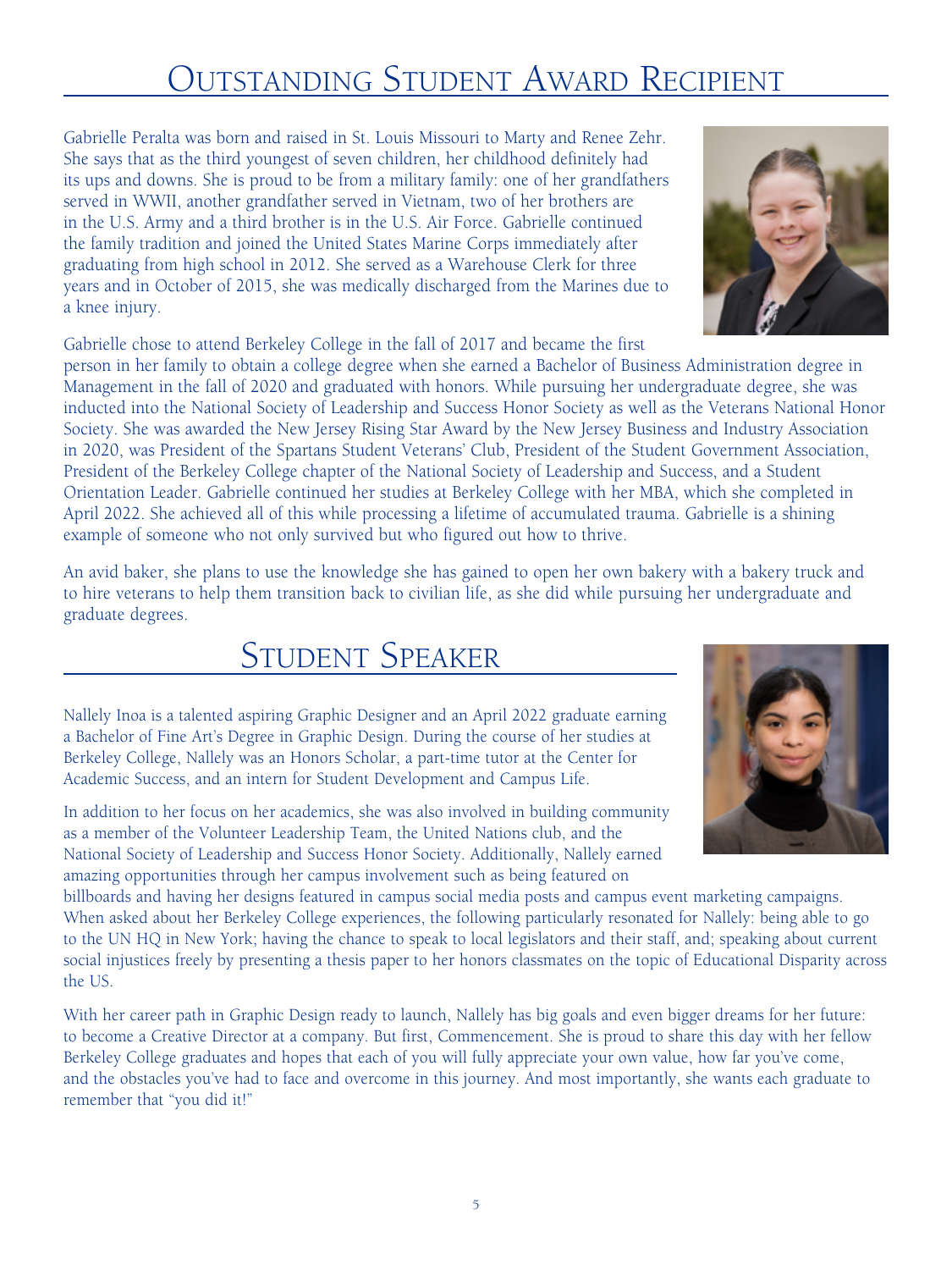# Outstanding Student Award Recipient

Gabrielle Peralta was born and raised in St. Louis Missouri to Marty and Renee Zehr. She says that as the third youngest of seven children, her childhood definitely had its ups and downs. She is proud to be from a military family: one of her grandfathers served in WWII, another grandfather served in Vietnam, two of her brothers are in the U.S. Army and a third brother is in the U.S. Air Force. Gabrielle continued the family tradition and joined the United States Marine Corps immediately after graduating from high school in 2012. She served as a Warehouse Clerk for three years and in October of 2015, she was medically discharged from the Marines due to a knee injury.

Gabrielle chose to attend Berkeley College in the fall of 2017 and became the first

person in her family to obtain a college degree when she earned a Bachelor of Business Administration degree in Management in the fall of 2020 and graduated with honors. While pursuing her undergraduate degree, she was inducted into the National Society of Leadership and Success Honor Society as well as the Veterans National Honor Society. She was awarded the New Jersey Rising Star Award by the New Jersey Business and Industry Association in 2020, was President of the Spartans Student Veterans' Club, President of the Student Government Association, President of the Berkeley College chapter of the National Society of Leadership and Success, and a Student Orientation Leader. Gabrielle continued her studies at Berkeley College with her MBA, which she completed in April 2022. She achieved all of this while processing a lifetime of accumulated trauma. Gabrielle is a shining example of someone who not only survived but who figured out how to thrive.

An avid baker, she plans to use the knowledge she has gained to open her own bakery with a bakery truck and to hire veterans to help them transition back to civilian life, as she did while pursuing her undergraduate and graduate degrees.

# Student Speaker

Nallely Inoa is a talented aspiring Graphic Designer and an April 2022 graduate earning a Bachelor of Fine Art's Degree in Graphic Design. During the course of her studies at Berkeley College, Nallely was an Honors Scholar, a part-time tutor at the Center for Academic Success, and an intern for Student Development and Campus Life.

In addition to her focus on her academics, she was also involved in building community as a member of the Volunteer Leadership Team, the United Nations club, and the National Society of Leadership and Success Honor Society. Additionally, Nallely earned amazing opportunities through her campus involvement such as being featured on

billboards and having her designs featured in campus social media posts and campus event marketing campaigns. When asked about her Berkeley College experiences, the following particularly resonated for Nallely: being able to go to the UN HQ in New York; having the chance to speak to local legislators and their staff, and; speaking about current social injustices freely by presenting a thesis paper to her honors classmates on the topic of Educational Disparity across the US.

With her career path in Graphic Design ready to launch, Nallely has big goals and even bigger dreams for her future: to become a Creative Director at a company. But first, Commencement. She is proud to share this day with her fellow Berkeley College graduates and hopes that each of you will fully appreciate your own value, how far you've come, and the obstacles you've had to face and overcome in this journey. And most importantly, she wants each graduate to remember that "you did it!"



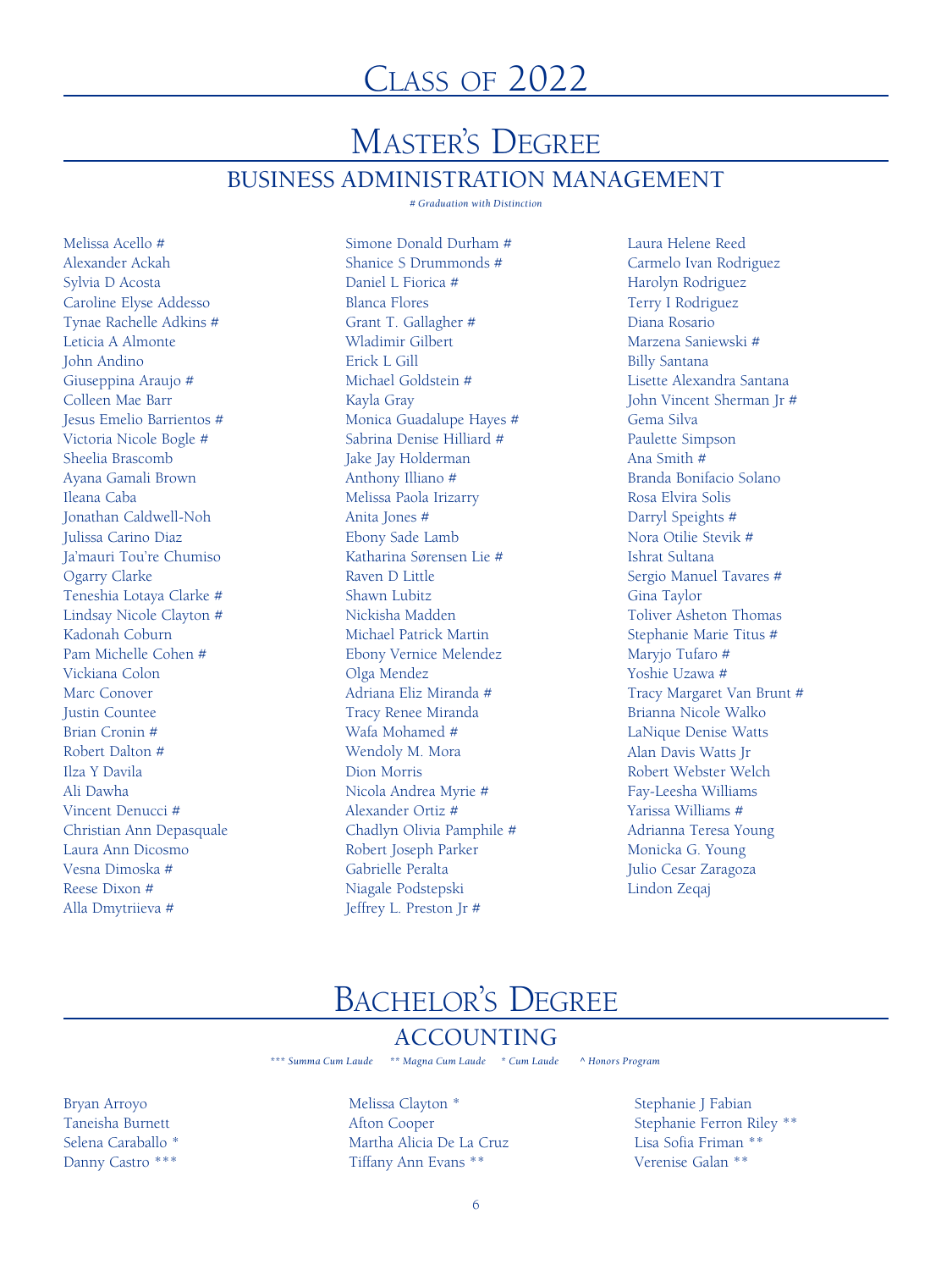# master's Degree BUSINESS ADMINISTRATION MANAGEMENT

*# Graduation with Distinction*

Melissa Acello # Alexander Ackah Sylvia D Acosta Caroline Elyse Addesso Tynae Rachelle Adkins # Leticia A Almonte John Andino Giuseppina Araujo # Colleen Mae Barr Jesus Emelio Barrientos # Victoria Nicole Bogle # Sheelia Brascomb Ayana Gamali Brown Ileana Caba Jonathan Caldwell-Noh Julissa Carino Diaz Ja'mauri Tou're Chumiso Ogarry Clarke Teneshia Lotaya Clarke # Lindsay Nicole Clayton # Kadonah Coburn Pam Michelle Cohen # Vickiana Colon Marc Conover Justin Countee Brian Cronin # Robert Dalton # Ilza Y Davila Ali Dawha Vincent Denucci # Christian Ann Depasquale Laura Ann Dicosmo Vesna Dimoska # Reese Dixon # Alla Dmytriieva #

Simone Donald Durham # Shanice S Drummonds # Daniel L Fiorica # Blanca Flores Grant T. Gallagher # Wladimir Gilbert Erick L Gill Michael Goldstein # Kayla Gray Monica Guadalupe Hayes # Sabrina Denise Hilliard # Jake Jay Holderman Anthony Illiano # Melissa Paola Irizarry Anita Jones # Ebony Sade Lamb Katharina Sørensen Lie # Raven D Little Shawn Lubitz Nickisha Madden Michael Patrick Martin Ebony Vernice Melendez Olga Mendez Adriana Eliz Miranda # Tracy Renee Miranda Wafa Mohamed # Wendoly M. Mora Dion Morris Nicola Andrea Myrie # Alexander Ortiz # Chadlyn Olivia Pamphile # Robert Joseph Parker Gabrielle Peralta Niagale Podstepski Jeffrey L. Preston Jr #

Laura Helene Reed Carmelo Ivan Rodriguez Harolyn Rodriguez Terry I Rodriguez Diana Rosario Marzena Saniewski # Billy Santana Lisette Alexandra Santana John Vincent Sherman Jr # Gema Silva Paulette Simpson Ana Smith # Branda Bonifacio Solano Rosa Elvira Solis Darryl Speights # Nora Otilie Stevik # Ishrat Sultana Sergio Manuel Tavares # Gina Taylor Toliver Asheton Thomas Stephanie Marie Titus # Maryjo Tufaro # Yoshie Uzawa # Tracy Margaret Van Brunt # Brianna Nicole Walko LaNique Denise Watts Alan Davis Watts Jr Robert Webster Welch Fay-Leesha Williams Yarissa Williams # Adrianna Teresa Young Monicka G. Young Julio Cesar Zaragoza Lindon Zeqaj

# BaChelor's Degree

### ACCOUNTING

*\*\*\* Summa Cum Laude \*\* Magna Cum Laude \* Cum Laude ^ Honors Program*

Bryan Arroyo Taneisha Burnett Selena Caraballo \* Danny Castro \*\*\*

Melissa Clayton \* Afton Cooper Martha Alicia De La Cruz Tiffany Ann Evans \*\*

Stephanie J Fabian Stephanie Ferron Riley \*\* Lisa Sofia Friman \*\* Verenise Galan \*\*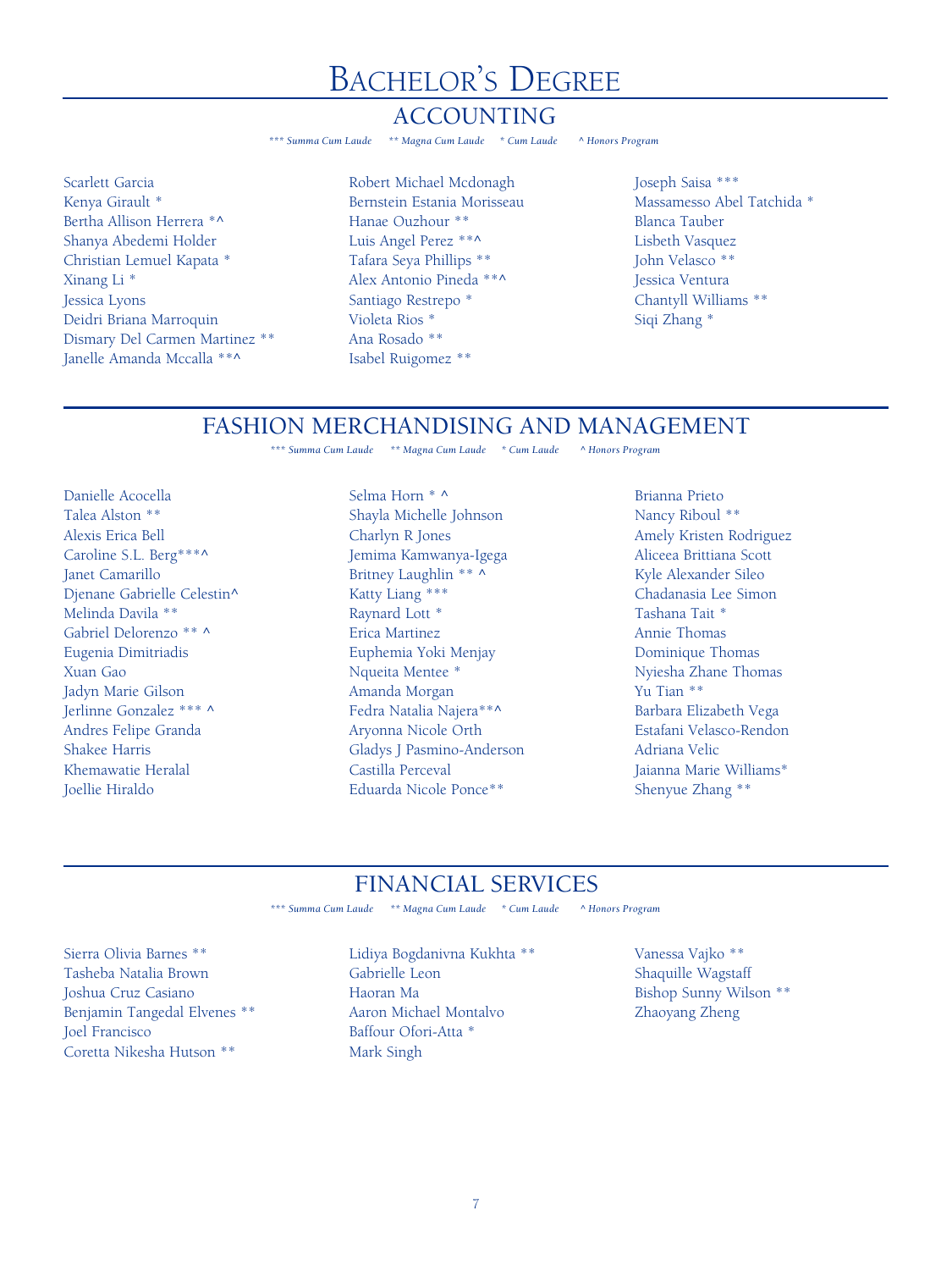### ACCOUNTING

*\*\*\* Summa Cum Laude \*\* Magna Cum Laude \* Cum Laude ^ Honors Program*

Scarlett Garcia Kenya Girault \* Bertha Allison Herrera \*^ Shanya Abedemi Holder Christian Lemuel Kapata \* Xinang Li \* Jessica Lyons Deidri Briana Marroquin Dismary Del Carmen Martinez \*\* Janelle Amanda Mccalla \*\*^

Robert Michael Mcdonagh Bernstein Estania Morisseau Hanae Ouzhour \*\* Luis Angel Perez \*\*^ Tafara Seya Phillips \*\* Alex Antonio Pineda \*\*^ Santiago Restrepo \* Violeta Rios \* Ana Rosado \*\* Isabel Ruigomez \*\*

Joseph Saisa \*\*\* Massamesso Abel Tatchida \* Blanca Tauber Lisbeth Vasquez John Velasco \*\* Jessica Ventura Chantyll Williams \*\* Siqi Zhang \*

#### FASHION MERCHANDISING AND MANAGEMENT

*\*\*\* Summa Cum Laude \*\* Magna Cum Laude \* Cum Laude ^ Honors Program*

Danielle Acocella Talea Alston \*\* Alexis Erica Bell Caroline S.L. Berg\*\*\*^ Janet Camarillo Djenane Gabrielle Celestin^ Melinda Davila \*\* Gabriel Delorenzo \*\* ^ Eugenia Dimitriadis Xuan Gao Jadyn Marie Gilson Jerlinne Gonzalez \*\*\* ^ Andres Felipe Granda Shakee Harris Khemawatie Heralal Joellie Hiraldo

Selma Horn \* ^ Shayla Michelle Johnson Charlyn R Jones Jemima Kamwanya-Igega Britney Laughlin \*\* ^ Katty Liang \*\*\* Raynard Lott \* Erica Martinez Euphemia Yoki Menjay Nqueita Mentee \* Amanda Morgan Fedra Natalia Najera\*\*^ Aryonna Nicole Orth Gladys J Pasmino-Anderson Castilla Perceval Eduarda Nicole Ponce\*\*

Brianna Prieto Nancy Riboul \*\* Amely Kristen Rodriguez Aliceea Brittiana Scott Kyle Alexander Sileo Chadanasia Lee Simon Tashana Tait \* Annie Thomas Dominique Thomas Nyiesha Zhane Thomas Yu Tian \*\* Barbara Elizabeth Vega Estafani Velasco-Rendon Adriana Velic Jaianna Marie Williams\* Shenyue Zhang \*\*

# FINANCIAL SERVICES<br>aude \*\*\* Magna Cum Laude \* Cum Laude ^ Honors Program

<sup>\*\*\*</sup> Summa Cum Laude *\*\* Magna Cum Laude \* Cum Laude* 

Sierra Olivia Barnes \*\* Tasheba Natalia Brown Joshua Cruz Casiano Benjamin Tangedal Elvenes \*\* Joel Francisco Coretta Nikesha Hutson \*\*

Lidiya Bogdanivna Kukhta \*\* Gabrielle Leon Haoran Ma Aaron Michael Montalvo Baffour Ofori-Atta \* Mark Singh

Vanessa Vajko \*\* Shaquille Wagstaff Bishop Sunny Wilson \*\* Zhaoyang Zheng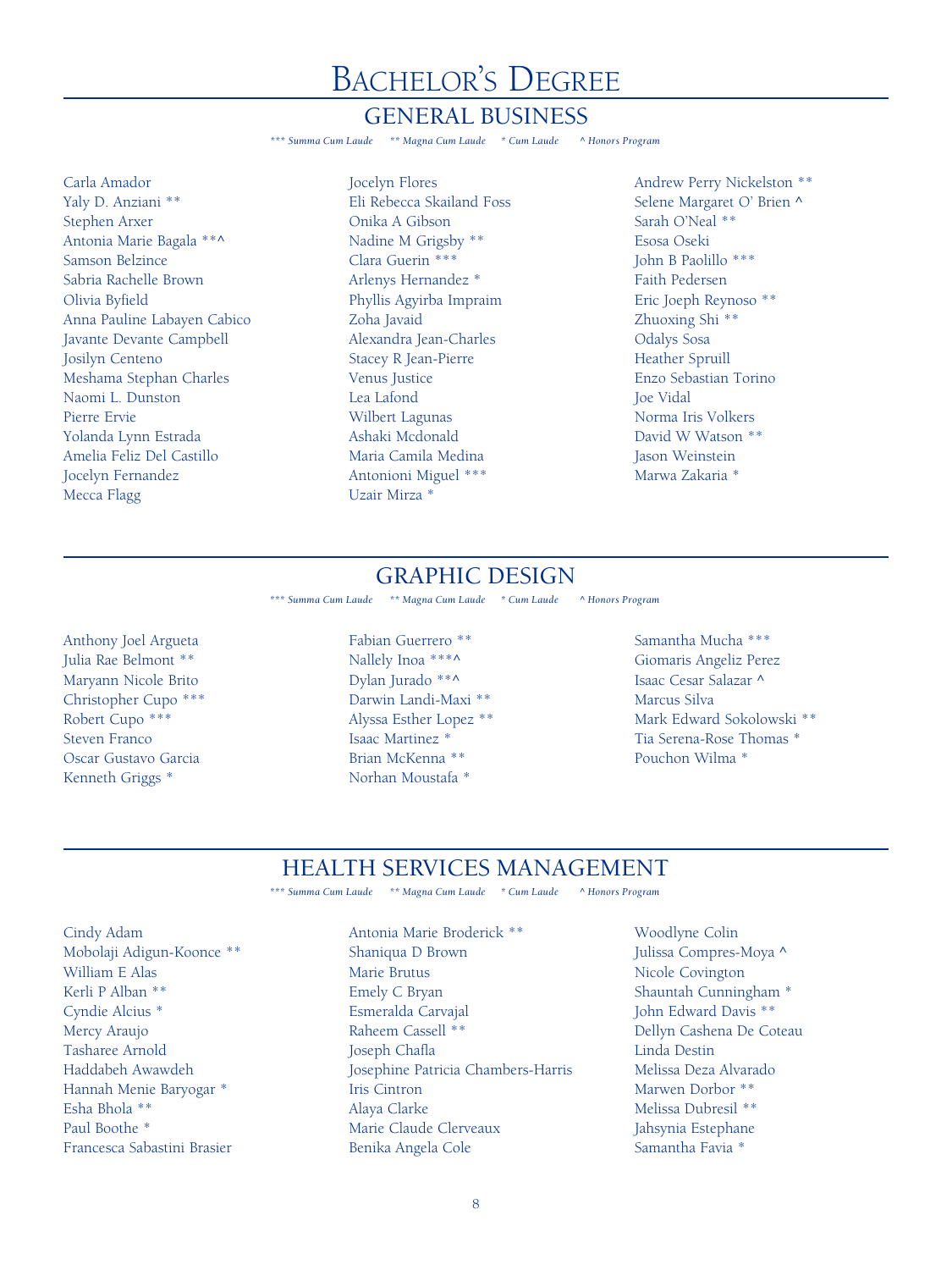#### GENERAL BUSINESS

*\*\*\* Summa Cum Laude \*\* Magna Cum Laude \* Cum Laude ^ Honors Program*

Carla Amador Yaly D. Anziani \*\* Stephen Arxer Antonia Marie Bagala \*\*^ Samson Belzince Sabria Rachelle Brown Olivia Byfield Anna Pauline Labayen Cabico Javante Devante Campbell Josilyn Centeno Meshama Stephan Charles Naomi L. Dunston Pierre Ervie Yolanda Lynn Estrada Amelia Feliz Del Castillo Jocelyn Fernandez Mecca Flagg

Jocelyn Flores Eli Rebecca Skailand Foss Onika A Gibson Nadine M Grigsby \*\* Clara Guerin \*\*\* Arlenys Hernandez \* Phyllis Agyirba Impraim Zoha Javaid Alexandra Jean-Charles Stacey R Jean-Pierre Venus Justice Lea Lafond Wilbert Lagunas Ashaki Mcdonald Maria Camila Medina Antonioni Miguel \*\*\* Uzair Mirza \*

Andrew Perry Nickelston \*\* Selene Margaret O' Brien ^ Sarah O'Neal \*\* Esosa Oseki John B Paolillo \*\*\* Faith Pedersen Eric Joeph Reynoso \*\* Zhuoxing Shi \*\* Odalys Sosa Heather Spruill Enzo Sebastian Torino Joe Vidal Norma Iris Volkers David W Watson \*\* Jason Weinstein Marwa Zakaria \*

### GRAPHIC DESIGN

*\*\*\* Summa Cum Laude \*\* Magna Cum Laude \* Cum Laude ^ Honors Program*

Anthony Joel Argueta Julia Rae Belmont \*\* Maryann Nicole Brito Christopher Cupo \*\*\* Robert Cupo \*\*\* Steven Franco Oscar Gustavo Garcia Kenneth Griggs \*

Fabian Guerrero \*\* Nallely Inoa \*\*\*^ Dylan Jurado \*\*^ Darwin Landi-Maxi \*\* Alyssa Esther Lopez \*\* Isaac Martinez \* Brian McKenna \*\* Norhan Moustafa \*

Samantha Mucha \*\*\* Giomaris Angeliz Perez Isaac Cesar Salazar ^ Marcus Silva Mark Edward Sokolowski \*\* Tia Serena-Rose Thomas \* Pouchon Wilma \*

### HEALTH SERVICES MANAGEMENT

*\*\*\* Summa Cum Laude \*\* Magna Cum Laude \* Cum Laude ^ Honors Program*

Cindy Adam Mobolaji Adigun-Koonce \*\* William E Alas Kerli P Alban \*\* Cyndie Alcius \* Mercy Araujo Tasharee Arnold Haddabeh Awawdeh Hannah Menie Baryogar \* Esha Bhola \*\* Paul Boothe \* Francesca Sabastini Brasier

Antonia Marie Broderick \*\* Shaniqua D Brown Marie Brutus Emely C Bryan Esmeralda Carvajal Raheem Cassell \*\* Joseph Chafla Josephine Patricia Chambers-Harris Iris Cintron Alaya Clarke Marie Claude Clerveaux Benika Angela Cole

Woodlyne Colin Julissa Compres-Moya ^ Nicole Covington Shauntah Cunningham \* John Edward Davis \*\* Dellyn Cashena De Coteau Linda Destin Melissa Deza Alvarado Marwen Dorbor \*\* Melissa Dubresil \*\* Jahsynia Estephane Samantha Favia \*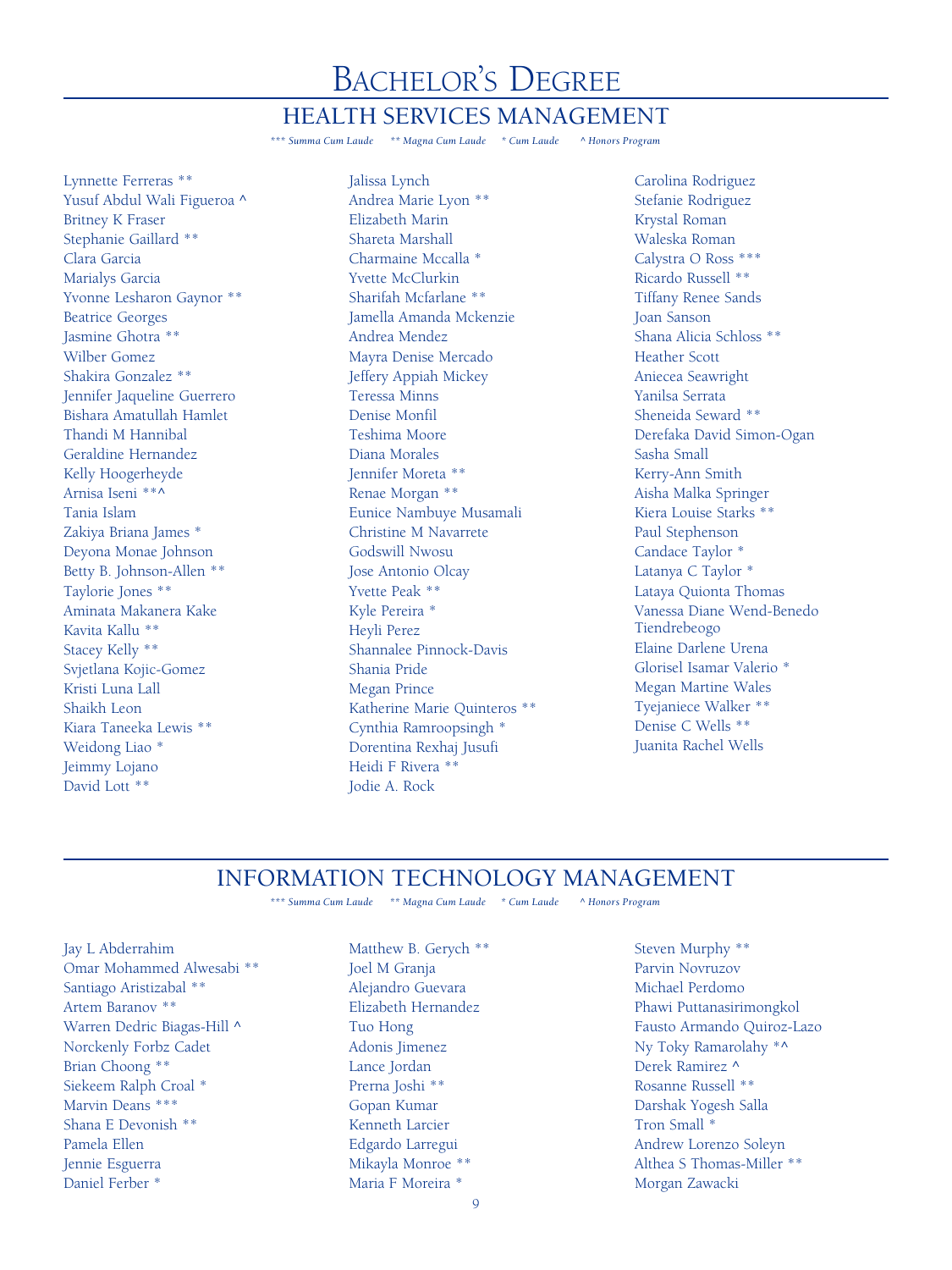#### HEALTH SERVICES MANAGEMENT

*\*\*\* Summa Cum Laude \*\* Magna Cum Laude \* Cum Laude ^ Honors Program*

Lynnette Ferreras \*\* Yusuf Abdul Wali Figueroa ^ Britney K Fraser Stephanie Gaillard \*\* Clara Garcia Marialys Garcia Yvonne Lesharon Gaynor \*\* Beatrice Georges Jasmine Ghotra \*\* Wilber Gomez Shakira Gonzalez \*\* Jennifer Jaqueline Guerrero Bishara Amatullah Hamlet Thandi M Hannibal Geraldine Hernandez Kelly Hoogerheyde Arnisa Iseni \*\*^ Tania Islam Zakiya Briana James \* Deyona Monae Johnson Betty B. Johnson-Allen \*\* Taylorie Jones \*\* Aminata Makanera Kake Kavita Kallu \*\* Stacey Kelly \*\* Svjetlana Kojic-Gomez Kristi Luna Lall Shaikh Leon Kiara Taneeka Lewis \*\* Weidong Liao \* Jeimmy Lojano David Lott \*\*

Jalissa Lynch Andrea Marie Lyon \*\* Elizabeth Marin Shareta Marshall Charmaine Mccalla \* Yvette McClurkin Sharifah Mcfarlane \*\* Jamella Amanda Mckenzie Andrea Mendez Mayra Denise Mercado Jeffery Appiah Mickey Teressa Minns Denise Monfil Teshima Moore Diana Morales Jennifer Moreta \*\* Renae Morgan \*\* Eunice Nambuye Musamali Christine M Navarrete Godswill Nwosu Jose Antonio Olcay Yvette Peak \*\* Kyle Pereira \* Heyli Perez Shannalee Pinnock-Davis Shania Pride Megan Prince Katherine Marie Quinteros \*\* Cynthia Ramroopsingh \* Dorentina Rexhaj Jusufi Heidi F Rivera \*\* Jodie A. Rock

Carolina Rodriguez Stefanie Rodriguez Krystal Roman Waleska Roman Calystra O Ross \*\*\* Ricardo Russell \*\* Tiffany Renee Sands Joan Sanson Shana Alicia Schloss \*\* Heather Scott Aniecea Seawright Yanilsa Serrata Sheneida Seward \*\* Derefaka David Simon-Ogan Sasha Small Kerry-Ann Smith Aisha Malka Springer Kiera Louise Starks \*\* Paul Stephenson Candace Taylor \* Latanya C Taylor \* Lataya Quionta Thomas Vanessa Diane Wend-Benedo Tiendrebeogo Elaine Darlene Urena Glorisel Isamar Valerio \* Megan Martine Wales Tyejaniece Walker \*\* Denise C Wells \*\* Juanita Rachel Wells

### INFORMATION TECHNOLOGY MANAGEMENT

*\*\*\* Summa Cum Laude \*\* Magna Cum Laude \* Cum Laude ^ Honors Program*

Jay L Abderrahim Omar Mohammed Alwesabi \*\* Santiago Aristizabal \*\* Artem Baranov \*\* Warren Dedric Biagas-Hill ^ Norckenly Forbz Cadet Brian Choong \*\* Siekeem Ralph Croal \* Marvin Deans \*\*\* Shana E Devonish \*\* Pamela Ellen Jennie Esguerra Daniel Ferber \*

Matthew B. Gerych \*\* Joel M Granja Alejandro Guevara Elizabeth Hernandez Tuo Hong Adonis Jimenez Lance Jordan Prerna Joshi \*\* Gopan Kumar Kenneth Larcier Edgardo Larregui Mikayla Monroe \*\* Maria F Moreira \*

Steven Murphy \*\* Parvin Novruzov Michael Perdomo Phawi Puttanasirimongkol Fausto Armando Quiroz-Lazo Ny Toky Ramarolahy \*^ Derek Ramirez ^ Rosanne Russell \*\* Darshak Yogesh Salla Tron Small \* Andrew Lorenzo Soleyn Althea S Thomas-Miller \*\* Morgan Zawacki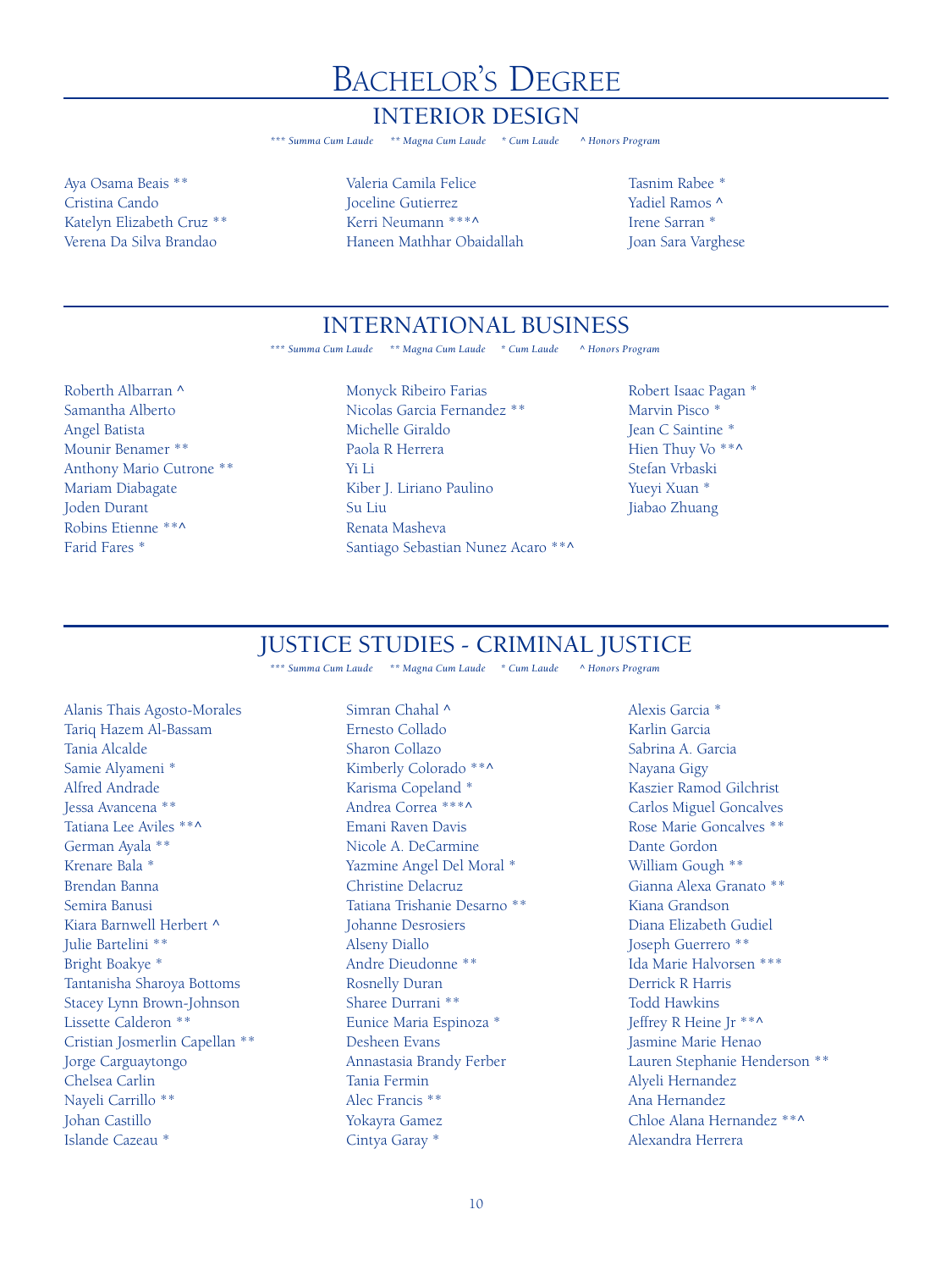#### INTERIOR DESIGN

*\*\*\* Summa Cum Laude \*\* Magna Cum Laude \* Cum Laude ^ Honors Program*

Aya Osama Beais \*\* Cristina Cando Katelyn Elizabeth Cruz \*\* Verena Da Silva Brandao

Valeria Camila Felice Joceline Gutierrez Kerri Neumann \*\*\*^ Haneen Mathhar Obaidallah

Tasnim Rabee \* Yadiel Ramos ^ Irene Sarran \* Joan Sara Varghese

### INTERNATIONAL BUSINESS

*\*\*\* Summa Cum Laude \*\* Magna Cum Laude \* Cum Laude ^ Honors Program*

Roberth Albarran ^ Samantha Alberto Angel Batista Mounir Benamer \*\* Anthony Mario Cutrone \*\* Mariam Diabagate Joden Durant Robins Etienne \*\*^ Farid Fares \*

Monyck Ribeiro Farias Nicolas Garcia Fernandez \*\* Michelle Giraldo Paola R Herrera Yi Li Kiber J. Liriano Paulino Su Liu Renata Masheva Santiago Sebastian Nunez Acaro \*\*^

Robert Isaac Pagan \* Marvin Pisco \* Jean C Saintine \* Hien Thuy Vo<sup>\*\*^</sup> Stefan Vrbaski Yueyi Xuan \* Jiabao Zhuang

### JUSTICE STUDIES - CRIMINAL JUSTICE

*\*\*\* Summa Cum Laude \*\* Magna Cum Laude \* Cum Laude ^ Honors Program*

Alanis Thais Agosto-Morales Tariq Hazem Al-Bassam Tania Alcalde Samie Alyameni \* Alfred Andrade Jessa Avancena \*\* Tatiana Lee Aviles \*\*^ German Ayala \*\* Krenare Bala \* Brendan Banna Semira Banusi Kiara Barnwell Herbert ^ Julie Bartelini \*\* Bright Boakye \* Tantanisha Sharoya Bottoms Stacey Lynn Brown-Johnson Lissette Calderon \*\* Cristian Josmerlin Capellan \*\* Jorge Carguaytongo Chelsea Carlin Nayeli Carrillo \*\* Johan Castillo Islande Cazeau \*

Simran Chahal ^ Ernesto Collado Sharon Collazo Kimberly Colorado \*\*^ Karisma Copeland \* Andrea Correa \*\*\*^ Emani Raven Davis Nicole A. DeCarmine Yazmine Angel Del Moral \* Christine Delacruz Tatiana Trishanie Desarno \*\* Johanne Desrosiers Alseny Diallo Andre Dieudonne \*\* Rosnelly Duran Sharee Durrani \*\* Eunice Maria Espinoza \* Desheen Evans Annastasia Brandy Ferber Tania Fermin Alec Francis \*\* Yokayra Gamez Cintya Garay \*

Alexis Garcia \* Karlin Garcia Sabrina A. Garcia Nayana Gigy Kaszier Ramod Gilchrist Carlos Miguel Goncalves Rose Marie Goncalves \*\* Dante Gordon William Gough \*\* Gianna Alexa Granato \*\* Kiana Grandson Diana Elizabeth Gudiel Joseph Guerrero \*\* Ida Marie Halvorsen \*\*\* Derrick R Harris Todd Hawkins Jeffrey R Heine Jr \*\*^ Jasmine Marie Henao Lauren Stephanie Henderson \*\* Alyeli Hernandez Ana Hernandez Chloe Alana Hernandez \*\*^ Alexandra Herrera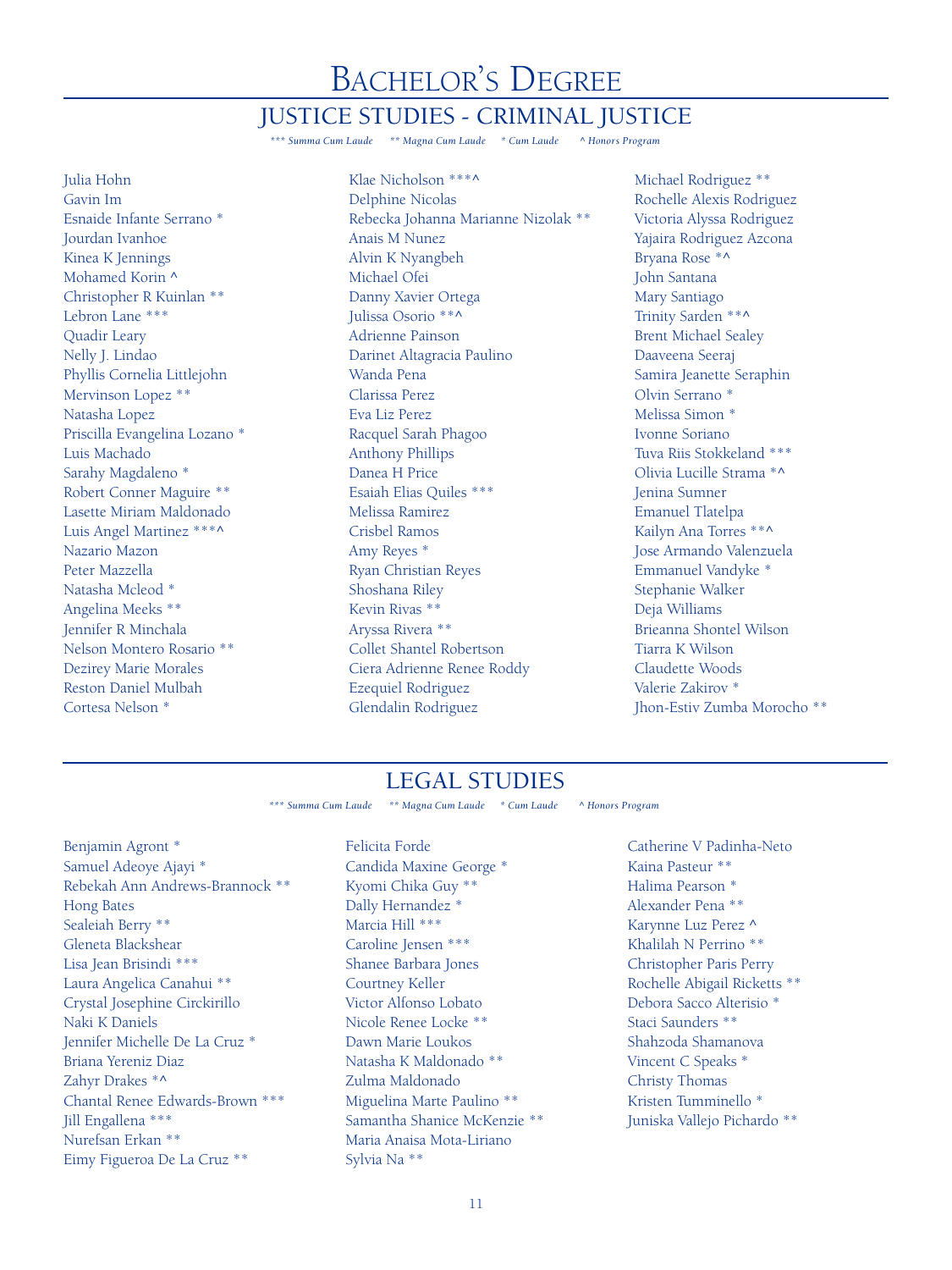#### JUSTICE STUDIES - CRIMINAL JUSTICE

*\*\*\* Summa Cum Laude \*\* Magna Cum Laude \* Cum Laude ^ Honors Program*

Julia Hohn Gavin Im Esnaide Infante Serrano \* Jourdan Ivanhoe Kinea K Jennings Mohamed Korin ^ Christopher R Kuinlan \*\* Lebron Lane \*\*\* Quadir Leary Nelly J. Lindao Phyllis Cornelia Littlejohn Mervinson Lopez \*\* Natasha Lopez Priscilla Evangelina Lozano \* Luis Machado Sarahy Magdaleno \* Robert Conner Maguire \*\* Lasette Miriam Maldonado Luis Angel Martinez \*\*\*^ Nazario Mazon Peter Mazzella Natasha Mcleod \* Angelina Meeks \*\* Jennifer R Minchala Nelson Montero Rosario \*\* Dezirey Marie Morales Reston Daniel Mulbah Cortesa Nelson \*

Klae Nicholson \*\*\*^ Delphine Nicolas Rebecka Johanna Marianne Nizolak \*\* Anais M Nunez Alvin K Nyangbeh Michael Ofei Danny Xavier Ortega Julissa Osorio \*\*^ Adrienne Painson Darinet Altagracia Paulino Wanda Pena Clarissa Perez Eva Liz Perez Racquel Sarah Phagoo Anthony Phillips Danea H Price Esaiah Elias Quiles \*\*\* Melissa Ramirez Crisbel Ramos Amy Reyes \* Ryan Christian Reyes Shoshana Riley Kevin Rivas \*\* Aryssa Rivera \*\* Collet Shantel Robertson Ciera Adrienne Renee Roddy Ezequiel Rodriguez Glendalin Rodriguez

Michael Rodriguez \*\* Rochelle Alexis Rodriguez Victoria Alyssa Rodriguez Yajaira Rodriguez Azcona Bryana Rose \*^ John Santana Mary Santiago Trinity Sarden \*\*^ Brent Michael Sealey Daaveena Seeraj Samira Jeanette Seraphin Olvin Serrano \* Melissa Simon \* Ivonne Soriano Tuva Riis Stokkeland \*\*\* Olivia Lucille Strama \*^ Jenina Sumner Emanuel Tlatelpa Kailyn Ana Torres \*\*^ Jose Armando Valenzuela Emmanuel Vandyke \* Stephanie Walker Deja Williams Brieanna Shontel Wilson Tiarra K Wilson Claudette Woods Valerie Zakirov \* Jhon-Estiv Zumba Morocho \*\*

### LEGAL STUDIES

*\*\*\* Summa Cum Laude \*\* Magna Cum Laude \* Cum Laude ^ Honors Program*

Benjamin Agront \* Samuel Adeoye Ajayi \* Rebekah Ann Andrews-Brannock \*\* Hong Bates Sealeiah Berry \*\* Gleneta Blackshear Lisa Jean Brisindi \*\*\* Laura Angelica Canahui \*\* Crystal Josephine Circkirillo Naki K Daniels Jennifer Michelle De La Cruz \* Briana Yereniz Diaz Zahyr Drakes \*^ Chantal Renee Edwards-Brown \*\*\* Jill Engallena \*\*\* Nurefsan Erkan \*\* Eimy Figueroa De La Cruz \*\*

Felicita Forde Candida Maxine George \* Kyomi Chika Guy \*\* Dally Hernandez \* Marcia Hill \*\*\* Caroline Jensen \*\*\* Shanee Barbara Jones Courtney Keller Victor Alfonso Lobato Nicole Renee Locke \*\* Dawn Marie Loukos Natasha K Maldonado \*\* Zulma Maldonado Miguelina Marte Paulino \*\* Samantha Shanice McKenzie \*\* Maria Anaisa Mota-Liriano Sylvia Na \*\*

Catherine V Padinha-Neto Kaina Pasteur \*\* Halima Pearson \* Alexander Pena \*\* Karynne Luz Perez ^ Khalilah N Perrino \*\* Christopher Paris Perry Rochelle Abigail Ricketts \*\* Debora Sacco Alterisio \* Staci Saunders \*\* Shahzoda Shamanova Vincent C Speaks \* Christy Thomas Kristen Tumminello \* Juniska Vallejo Pichardo \*\*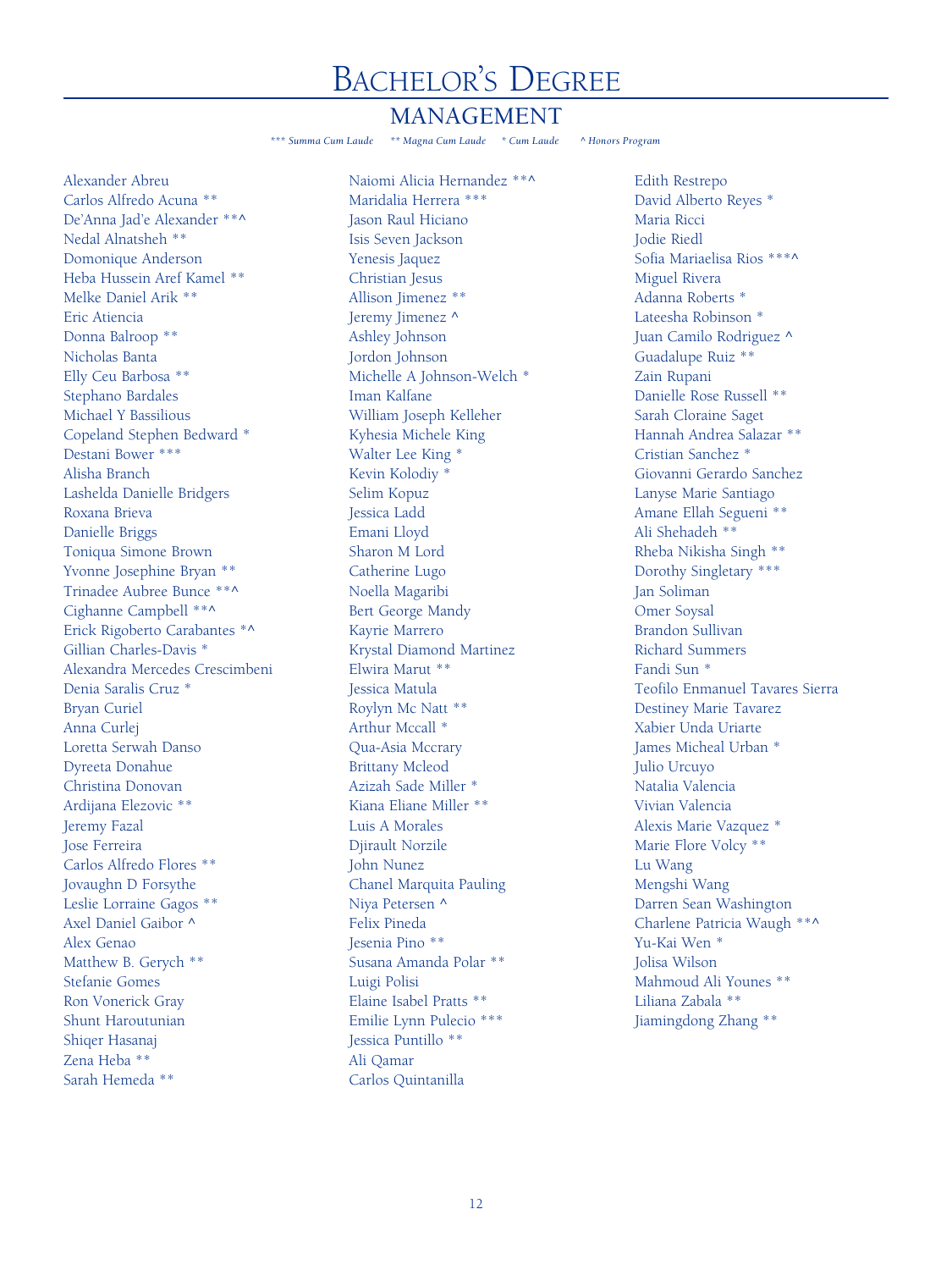#### MANAGEMENT

*\*\*\* Summa Cum Laude \*\* Magna Cum Laude \* Cum Laude ^ Honors Program*

Alexander Abreu Carlos Alfredo Acuna \*\* De'Anna Jad'e Alexander \*\*^ Nedal Alnatsheh \*\* Domonique Anderson Heba Hussein Aref Kamel \*\* Melke Daniel Arik \*\* Eric Atiencia Donna Balroop \*\* Nicholas Banta Elly Ceu Barbosa \*\* Stephano Bardales Michael Y Bassilious Copeland Stephen Bedward \* Destani Bower \*\*\* Alisha Branch Lashelda Danielle Bridgers Roxana Brieva Danielle Briggs Toniqua Simone Brown Yvonne Josephine Bryan \*\* Trinadee Aubree Bunce \*\*^ Cighanne Campbell \*\*^ Erick Rigoberto Carabantes \*^ Gillian Charles-Davis \* Alexandra Mercedes Crescimbeni Denia Saralis Cruz \* Bryan Curiel Anna Curlej Loretta Serwah Danso Dyreeta Donahue Christina Donovan Ardijana Elezovic \*\* Jeremy Fazal Jose Ferreira Carlos Alfredo Flores \*\* Jovaughn D Forsythe Leslie Lorraine Gagos \*\* Axel Daniel Gaibor ^ Alex Genao Matthew B. Gerych \*\* Stefanie Gomes Ron Vonerick Gray Shunt Haroutunian Shiqer Hasanaj Zena Heba \*\* Sarah Hemeda \*\*

Naiomi Alicia Hernandez \*\*^ Maridalia Herrera \*\*\* Jason Raul Hiciano Isis Seven Jackson Yenesis Jaquez Christian Jesus Allison Jimenez \*\* Jeremy Jimenez ^ Ashley Johnson Jordon Johnson Michelle A Johnson-Welch \* Iman Kalfane William Joseph Kelleher Kyhesia Michele King Walter Lee King \* Kevin Kolodiy \* Selim Kopuz Jessica Ladd Emani Lloyd Sharon M Lord Catherine Lugo Noella Magaribi Bert George Mandy Kayrie Marrero Krystal Diamond Martinez Elwira Marut \*\* Jessica Matula Roylyn Mc Natt \*\* Arthur Mccall \* Qua-Asia Mccrary Brittany Mcleod Azizah Sade Miller \* Kiana Eliane Miller \*\* Luis A Morales Djirault Norzile John Nunez Chanel Marquita Pauling Niya Petersen ^ Felix Pineda Jesenia Pino \*\* Susana Amanda Polar \*\* Luigi Polisi Elaine Isabel Pratts \*\* Emilie Lynn Pulecio \*\*\* Jessica Puntillo \*\* Ali Qamar Carlos Quintanilla

Edith Restrepo David Alberto Reyes \* Maria Ricci Jodie Riedl Sofia Mariaelisa Rios \*\*\*^ Miguel Rivera Adanna Roberts \* Lateesha Robinson \* Juan Camilo Rodriguez ^ Guadalupe Ruiz \*\* Zain Rupani Danielle Rose Russell \*\* Sarah Cloraine Saget Hannah Andrea Salazar \*\* Cristian Sanchez \* Giovanni Gerardo Sanchez Lanyse Marie Santiago Amane Ellah Segueni \*\* Ali Shehadeh \*\* Rheba Nikisha Singh \*\* Dorothy Singletary \*\*\* Jan Soliman Omer Soysal Brandon Sullivan Richard Summers Fandi Sun \* Teofilo Enmanuel Tavares Sierra Destiney Marie Tavarez Xabier Unda Uriarte James Micheal Urban \* Julio Urcuyo Natalia Valencia Vivian Valencia Alexis Marie Vazquez \* Marie Flore Volcy \*\* Lu Wang Mengshi Wang Darren Sean Washington Charlene Patricia Waugh \*\*^ Yu-Kai Wen \* Jolisa Wilson Mahmoud Ali Younes \*\* Liliana Zabala \*\* Jiamingdong Zhang \*\*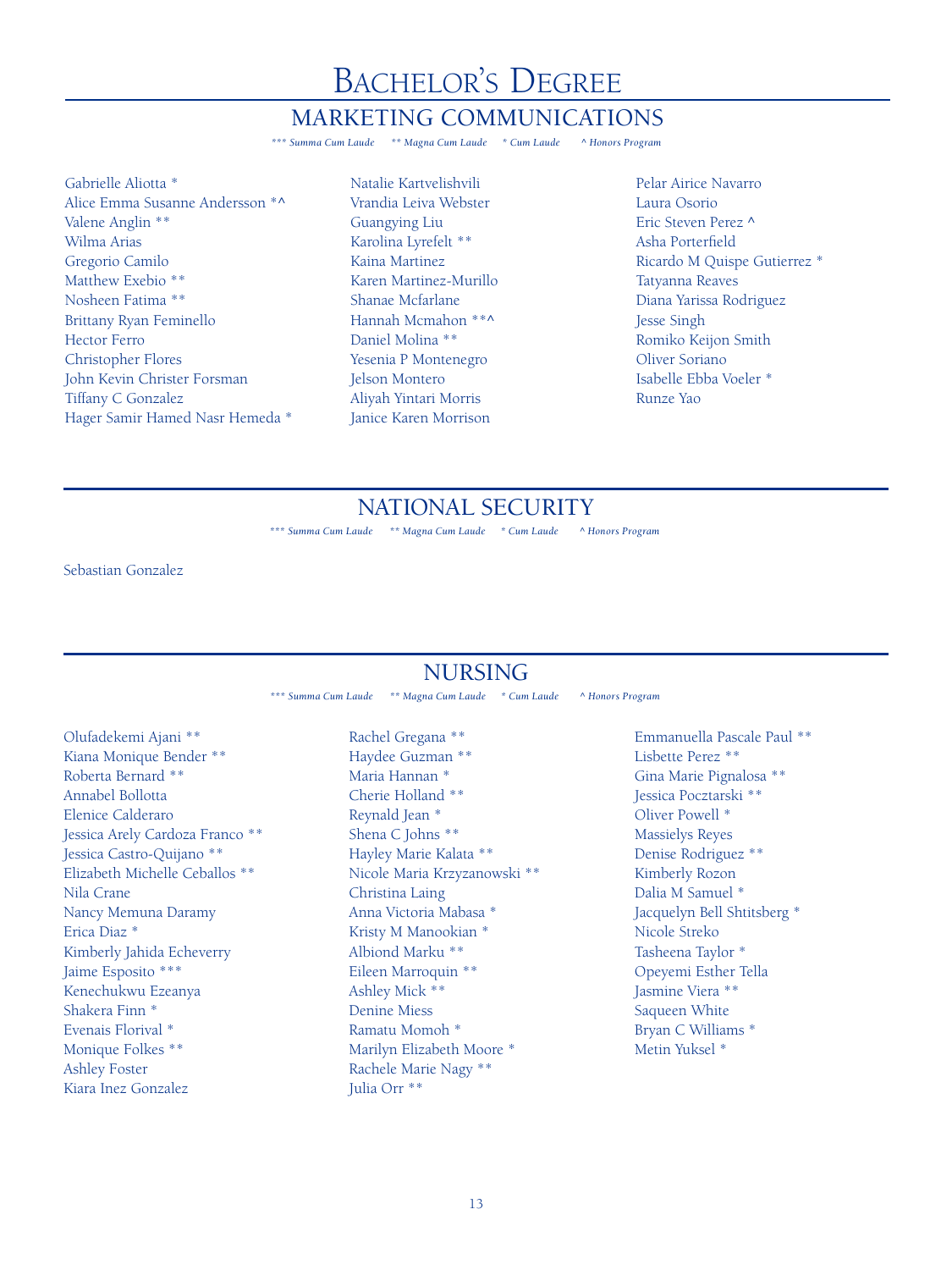#### MARKETING COMMUNICATIONS

*\*\*\* Summa Cum Laude \*\* Magna Cum Laude \* Cum Laude ^ Honors Program*

Gabrielle Aliotta \* Alice Emma Susanne Andersson \*^ Valene Anglin \*\* Wilma Arias Gregorio Camilo Matthew Exebio \*\* Nosheen Fatima \*\* Brittany Ryan Feminello Hector Ferro Christopher Flores John Kevin Christer Forsman Tiffany C Gonzalez Hager Samir Hamed Nasr Hemeda \* Natalie Kartvelishvili Vrandia Leiva Webster Guangying Liu Karolina Lyrefelt \*\* Kaina Martinez Karen Martinez-Murillo Shanae Mcfarlane Hannah Mcmahon \*\*^ Daniel Molina \*\* Yesenia P Montenegro Jelson Montero Aliyah Yintari Morris Janice Karen Morrison

Pelar Airice Navarro Laura Osorio Eric Steven Perez ^ Asha Porterfield Ricardo M Quispe Gutierrez \* Tatyanna Reaves Diana Yarissa Rodriguez Jesse Singh Romiko Keijon Smith Oliver Soriano Isabelle Ebba Voeler \* Runze Yao

### NATIONAL SECURITY

*\*\*\* Summa Cum Laude \*\* Magna Cum Laude \* Cum Laude ^ Honors Program*

Sebastian Gonzalez

### NURSING

*\*\*\* Summa Cum Laude \*\* Magna Cum Laude \* Cum Laude ^ Honors Program*

Olufadekemi Ajani \*\* Kiana Monique Bender \*\* Roberta Bernard \*\* Annabel Bollotta Elenice Calderaro Jessica Arely Cardoza Franco \*\* Jessica Castro-Quijano \*\* Elizabeth Michelle Ceballos \*\* Nila Crane Nancy Memuna Daramy Erica Diaz \* Kimberly Jahida Echeverry Jaime Esposito \*\*\* Kenechukwu Ezeanya Shakera Finn \* Evenais Florival \* Monique Folkes \*\* Ashley Foster Kiara Inez Gonzalez

Rachel Gregana \*\* Haydee Guzman \*\* Maria Hannan \* Cherie Holland \*\* Reynald Jean \* Shena C Johns \*\* Hayley Marie Kalata \*\* Nicole Maria Krzyzanowski \*\* Christina Laing Anna Victoria Mabasa \* Kristy M Manookian \* Albiond Marku \*\* Eileen Marroquin \*\* Ashley Mick \*\* Denine Miess Ramatu Momoh \* Marilyn Elizabeth Moore \* Rachele Marie Nagy \*\* Julia Orr \*\*

Emmanuella Pascale Paul \*\* Lisbette Perez \*\* Gina Marie Pignalosa \*\* Jessica Pocztarski \*\* Oliver Powell \* Massielys Reyes Denise Rodriguez \*\* Kimberly Rozon Dalia M Samuel \* Jacquelyn Bell Shtitsberg \* Nicole Streko Tasheena Taylor \* Opeyemi Esther Tella Jasmine Viera \*\* Saqueen White Bryan C Williams \* Metin Yuksel \*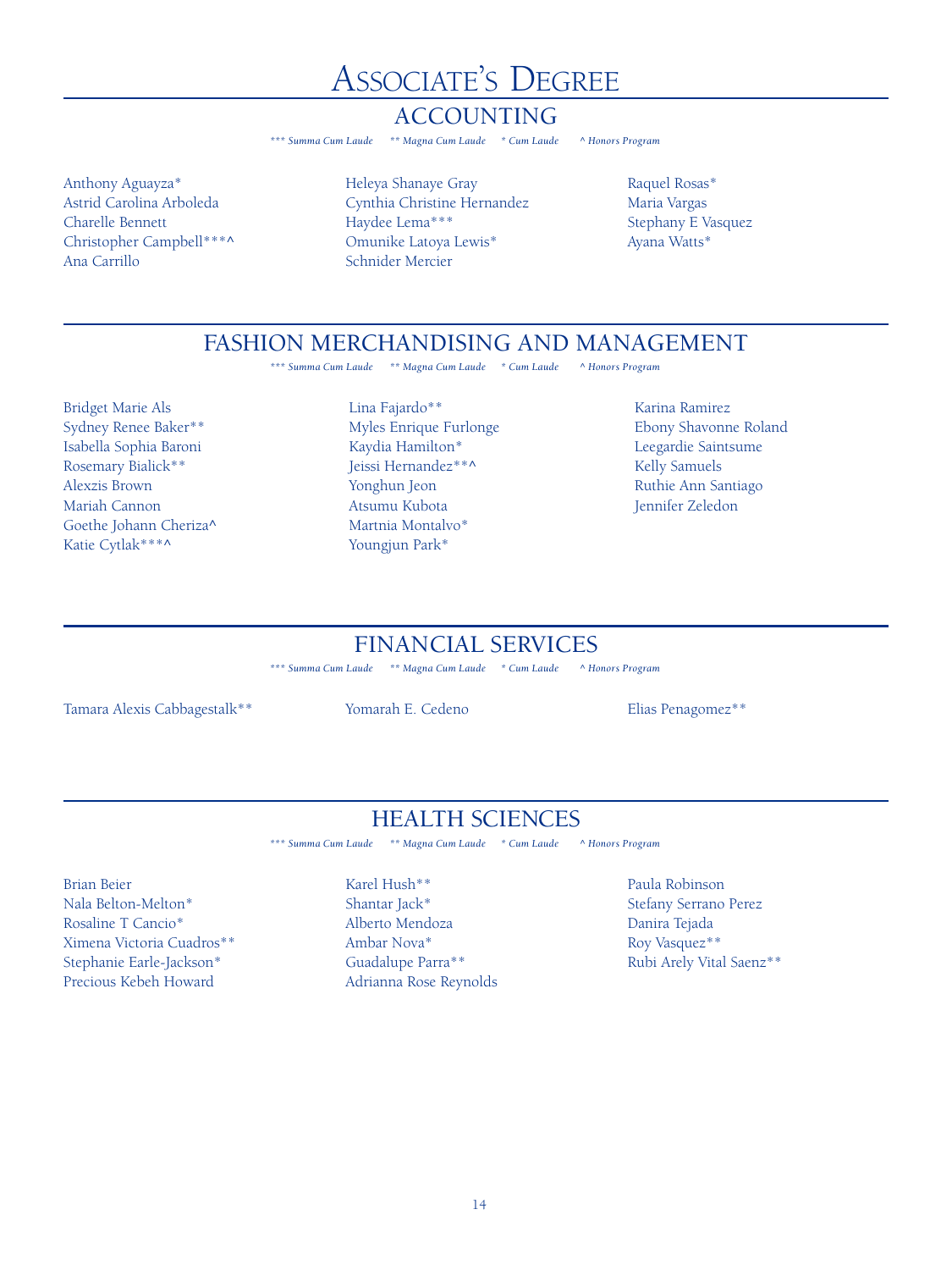# **ASSOCIATE'S DEGREE**

### **ACCOUNTING**

\*\* Magna Cum Laude \* Cum Laude \*\*\* Summa Cum Laude

Anthony Aguayza\* Astrid Carolina Arboleda Charelle Bennett Christopher Campbell\*\*\*^ Ana Carrillo

Heleya Shanaye Gray Cynthia Christine Hernandez Haydee Lema\*\*\* Omunike Latoya Lewis\* Schnider Mercier

A Honors Program

Raquel Rosas\* Maria Vargas Stephany E Vasquez Ayana Watts\*

### FASHION MERCHANDISING AND MANAGEMENT

*\*\*\* Summa Cum Laude \*\* Magna Cum Laude \* Cum Laude ^ Honors Program*

- Bridget Marie Als Sydney Renee Baker\*\* Isabella Sophia Baroni Rosemary Bialick\*\* Alexzis Brown Mariah Cannon Goethe Johann Cheriza^ Katie Cytlak\*\*\*^
- Lina Fajardo\*\* Myles Enrique Furlonge Kaydia Hamilton\* Jeissi Hernandez\*\*^ Yonghun Jeon Atsumu Kubota Martnia Montalvo\* Youngjun Park\*

Karina Ramirez Ebony Shavonne Roland Leegardie Saintsume Kelly Samuels Ruthie Ann Santiago Jennifer Zeledon

## FINANCIAL SERVICES

*\*\*\* Summa Cum Laude \*\* Magna Cum Laude \* Cum Laude ^ Honors Program*

Tamara Alexis Cabbagestalk\*\* Yomarah E. Cedeno Elias Penagomez\*\*

### HEALTH SCIENCES

*\*\*\* Summa Cum Laude \*\* Magna Cum Laude \* Cum Laude ^ Honors Program*

- Brian Beier Nala Belton-Melton\* Rosaline T Cancio\* Ximena Victoria Cuadros\*\* Stephanie Earle-Jackson\* Precious Kebeh Howard
- Karel Hush\*\* Shantar Jack\* Alberto Mendoza Ambar Nova\* Guadalupe Parra\*\* Adrianna Rose Reynolds
- Paula Robinson Stefany Serrano Perez Danira Tejada Roy Vasquez\*\* Rubi Arely Vital Saenz\*\*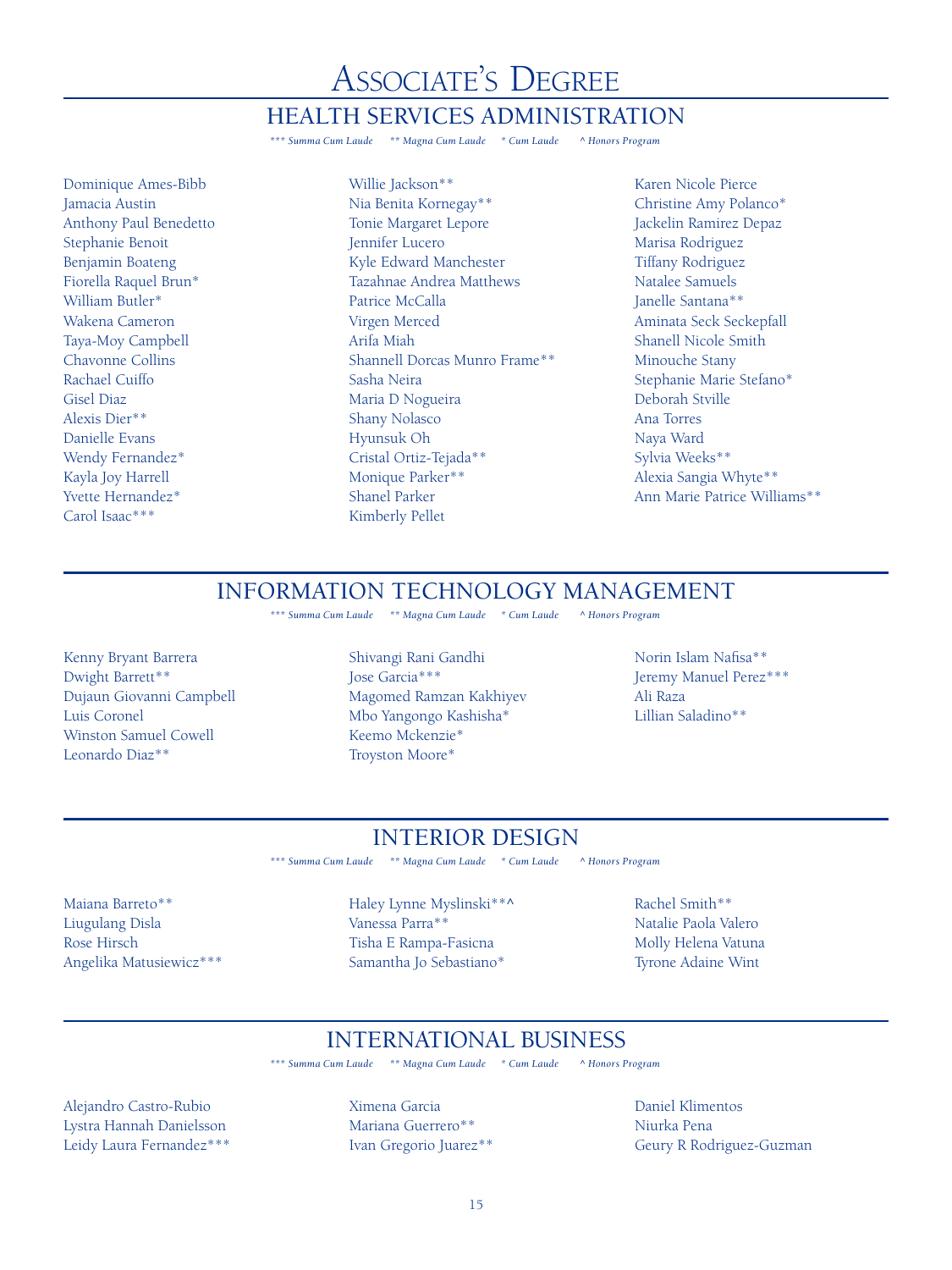# **ASSOCIATE'S DEGREE**

#### **HEALTH SERVICES ADMINISTRATION**

\*\*\* Summa Cum Laude \*\* Magna Cum Laude \* Cum Laude A Honors Program

Dominique Ames-Bibb Jamacia Austin Anthony Paul Benedetto Stephanie Benoit Benjamin Boateng Fiorella Raquel Brun\* William Butler\* Wakena Cameron Taya-Moy Campbell Chavonne Collins Rachael Cuiffo Gisel Diaz Alexis Dier\*\* Danielle Evans Wendy Fernandez\* Kayla Joy Harrell Yvette Hernandez\* Carol Isaac\*\*\*

- Willie Jackson\*\* Nia Benita Kornegay\*\* Tonie Margaret Lepore Jennifer Lucero Kyle Edward Manchester Tazahnae Andrea Matthews Patrice McCalla Virgen Merced Arifa Miah Shannell Dorcas Munro Frame\*\* Sasha Neira Maria D Nogueira Shany Nolasco Hyunsuk Oh Cristal Ortiz-Tejada\*\* Monique Parker\*\* Shanel Parker Kimberly Pellet
- Karen Nicole Pierce Christine Amy Polanco\* Jackelin Ramirez Depaz Marisa Rodriguez Tiffany Rodriguez Natalee Samuels Janelle Santana\*\* Aminata Seck Seckepfall Shanell Nicole Smith Minouche Stany Stephanie Marie Stefano\* Deborah Stville Ana Torres Naya Ward Sylvia Weeks\*\* Alexia Sangia Whyte\*\* Ann Marie Patrice Williams\*\*

#### INFORMATION TECHNOLOGY MANAGEMENT

*\*\*\* Summa Cum Laude \*\* Magna Cum Laude \* Cum Laude ^ Honors Program*

Kenny Bryant Barrera Dwight Barrett\*\* Dujaun Giovanni Campbell Luis Coronel Winston Samuel Cowell Leonardo Diaz\*\*

Shivangi Rani Gandhi Jose Garcia\*\*\* Magomed Ramzan Kakhiyev Mbo Yangongo Kashisha\* Keemo Mckenzie\* Troyston Moore\*

Norin Islam Nafisa\*\* Jeremy Manuel Perez\*\*\* Ali Raza Lillian Saladino\*\*

### INTERIOR DESIGN

*\*\*\* Summa Cum Laude \*\* Magna Cum Laude \* Cum Laude ^ Honors Program*

Maiana Barreto\*\* Liugulang Disla Rose Hirsch Angelika Matusiewicz\*\*\* Haley Lynne Myslinski\*\*^ Vanessa Parra\*\* Tisha E Rampa-Fasicna Samantha Jo Sebastiano\*

Rachel Smith\*\* Natalie Paola Valero Molly Helena Vatuna Tyrone Adaine Wint

### INTERNATIONAL BUSINESS

*\*\*\* Summa Cum Laude \*\* Magna Cum Laude \* Cum Laude ^ Honors Program*

Alejandro Castro-Rubio Lystra Hannah Danielsson Leidy Laura Fernandez\*\*\* Ximena Garcia Mariana Guerrero\*\* Ivan Gregorio Juarez\*\* Daniel Klimentos Niurka Pena Geury R Rodriguez-Guzman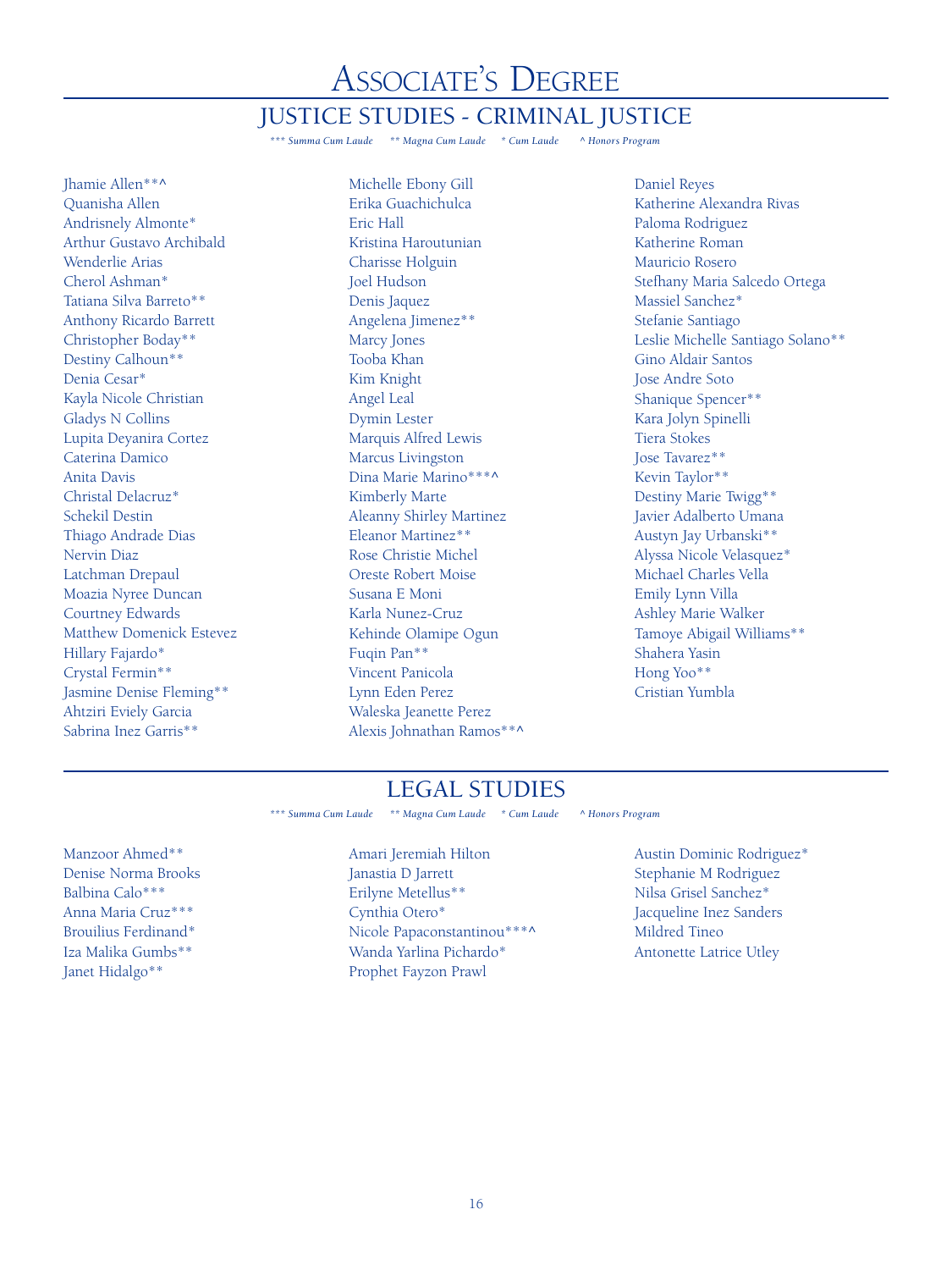# Associate's Degree

### JUSTICE STUDIES - CRIMINAL JUSTICE

*\*\*\* Summa Cum Laude \*\* Magna Cum Laude \* Cum Laude ^ Honors Program*

Jhamie Allen\*\*^ Quanisha Allen Andrisnely Almonte\* Arthur Gustavo Archibald Wenderlie Arias Cherol Ashman\* Tatiana Silva Barreto\*\* Anthony Ricardo Barrett Christopher Boday\*\* Destiny Calhoun\*\* Denia Cesar\* Kayla Nicole Christian Gladys N Collins Lupita Deyanira Cortez Caterina Damico Anita Davis Christal Delacruz\* Schekil Destin Thiago Andrade Dias Nervin Diaz Latchman Drepaul Moazia Nyree Duncan Courtney Edwards Matthew Domenick Estevez Hillary Fajardo\* Crystal Fermin\*\* Jasmine Denise Fleming\*\* Ahtziri Eviely Garcia Sabrina Inez Garris\*\*

Michelle Ebony Gill Erika Guachichulca Eric Hall Kristina Haroutunian Charisse Holguin Joel Hudson Denis Jaquez Angelena Jimenez\*\* Marcy Jones Tooba Khan Kim Knight Angel Leal Dymin Lester Marquis Alfred Lewis Marcus Livingston Dina Marie Marino\*\*\*^ Kimberly Marte Aleanny Shirley Martinez Eleanor Martinez\*\* Rose Christie Michel Oreste Robert Moise Susana E Moni Karla Nunez-Cruz Kehinde Olamipe Ogun Fuqin Pan\*\* Vincent Panicola Lynn Eden Perez Waleska Jeanette Perez Alexis Johnathan Ramos\*\*^

Daniel Reyes Katherine Alexandra Rivas Paloma Rodriguez Katherine Roman Mauricio Rosero Stefhany Maria Salcedo Ortega Massiel Sanchez\* Stefanie Santiago Leslie Michelle Santiago Solano\*\* Gino Aldair Santos Jose Andre Soto Shanique Spencer\*\* Kara Jolyn Spinelli Tiera Stokes Jose Tavarez\*\* Kevin Taylor\*\* Destiny Marie Twigg\*\* Javier Adalberto Umana Austyn Jay Urbanski\*\* Alyssa Nicole Velasquez\* Michael Charles Vella Emily Lynn Villa Ashley Marie Walker Tamoye Abigail Williams\*\* Shahera Yasin Hong Yoo\*\* Cristian Yumbla

#### LEGAL STUDIES

*\*\*\* Summa Cum Laude \*\* Magna Cum Laude \* Cum Laude ^ Honors Program*

Manzoor Ahmed\*\* Denise Norma Brooks Balbina Calo\*\*\* Anna Maria Cruz\*\*\* Brouilius Ferdinand\* Iza Malika Gumbs\*\* Janet Hidalgo\*\*

Amari Jeremiah Hilton Janastia D Jarrett Erilyne Metellus\*\* Cynthia Otero\* Nicole Papaconstantinou\*\*\*^ Wanda Yarlina Pichardo\* Prophet Fayzon Prawl

Austin Dominic Rodriguez\* Stephanie M Rodriguez Nilsa Grisel Sanchez\* Jacqueline Inez Sanders Mildred Tineo Antonette Latrice Utley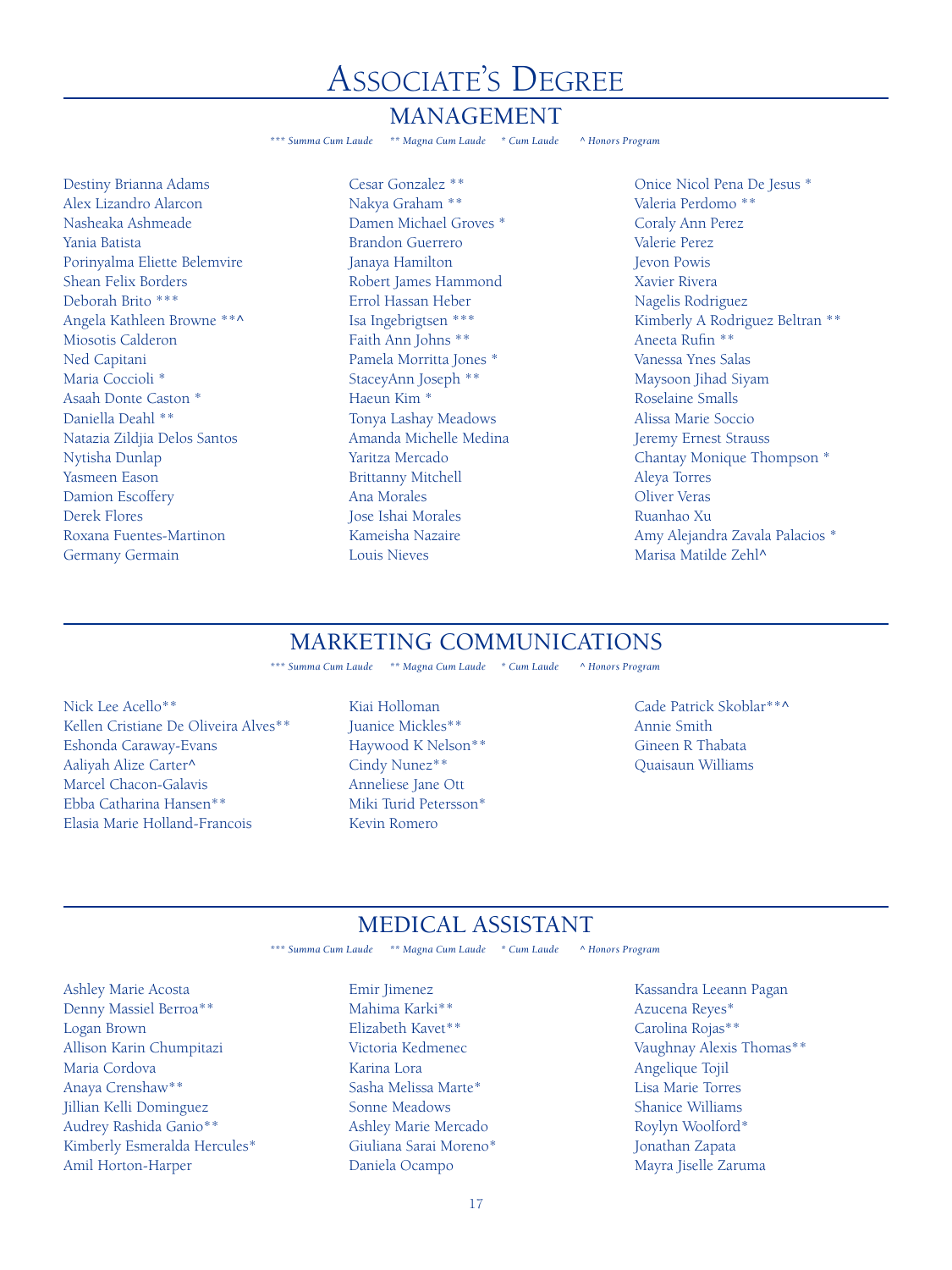# **ASSOCIATE'S DEGREE**

#### MANAGEMENT

\*\*\* Summa Cum Laude \*\* Magna Cum Laude \* Cum Laude A Honors Program

Destiny Brianna Adams Alex Lizandro Alarcon Nasheaka Ashmeade Yania Batista Porinyalma Eliette Belemvire Shean Felix Borders Deborah Brito \*\*\* Angela Kathleen Browne \*\*^ Miosotis Calderon Ned Capitani Maria Coccioli \* Asaah Donte Caston \* Daniella Deahl \*\* Natazia Zildjia Delos Santos Nytisha Dunlap Yasmeen Eason Damion Escoffery Derek Flores Roxana Fuentes-Martinon Germany Germain

Cesar Gonzalez \*\* Nakya Graham \*\* Damen Michael Groves \* Brandon Guerrero Janaya Hamilton Robert James Hammond Errol Hassan Heber Isa Ingebrigtsen \*\*\* Faith Ann Johns \*\* Pamela Morritta Jones \* StaceyAnn Joseph \*\* Haeun Kim \* Tonya Lashay Meadows Amanda Michelle Medina Yaritza Mercado Brittanny Mitchell Ana Morales Jose Ishai Morales Kameisha Nazaire Louis Nieves

Onice Nicol Pena De Jesus \* Valeria Perdomo \*\* Coraly Ann Perez Valerie Perez Jevon Powis Xavier Rivera Nagelis Rodriguez Kimberly A Rodriguez Beltran \*\* Aneeta Rufin \*\* Vanessa Ynes Salas Maysoon Jihad Siyam Roselaine Smalls Alissa Marie Soccio Jeremy Ernest Strauss Chantay Monique Thompson \* Aleya Torres Oliver Veras Ruanhao Xu Amy Alejandra Zavala Palacios \* Marisa Matilde Zehl^

### MARKETING COMMUNICATIONS

*\*\*\* Summa Cum Laude \*\* Magna Cum Laude \* Cum Laude ^ Honors Program*

- Nick Lee Acello\*\* Kellen Cristiane De Oliveira Alves\*\* Eshonda Caraway-Evans Aaliyah Alize Carter^ Marcel Chacon-Galavis Ebba Catharina Hansen\*\* Elasia Marie Holland-Francois
- Kiai Holloman Juanice Mickles\*\* Haywood K Nelson\*\* Cindy Nunez\*\* Anneliese Jane Ott Miki Turid Petersson\* Kevin Romero

Cade Patrick Skoblar\*\*^ Annie Smith Gineen R Thabata Quaisaun Williams

# MEDICAL ASSISTANT

*\*\*\* Summa Cum Laude \*\* Magna Cum Laude \* Cum Laude ^ Honors Program*

Ashley Marie Acosta Denny Massiel Berroa\*\* Logan Brown Allison Karin Chumpitazi Maria Cordova Anaya Crenshaw\*\* Jillian Kelli Dominguez Audrey Rashida Ganio\*\* Kimberly Esmeralda Hercules\* Amil Horton-Harper

Emir Jimenez Mahima Karki\*\* Elizabeth Kavet\*\* Victoria Kedmenec Karina Lora Sasha Melissa Marte\* Sonne Meadows Ashley Marie Mercado Giuliana Sarai Moreno\* Daniela Ocampo

Kassandra Leeann Pagan Azucena Reyes\* Carolina Rojas\*\* Vaughnay Alexis Thomas\*\* Angelique Tojil Lisa Marie Torres Shanice Williams Roylyn Woolford\* Jonathan Zapata Mayra Jiselle Zaruma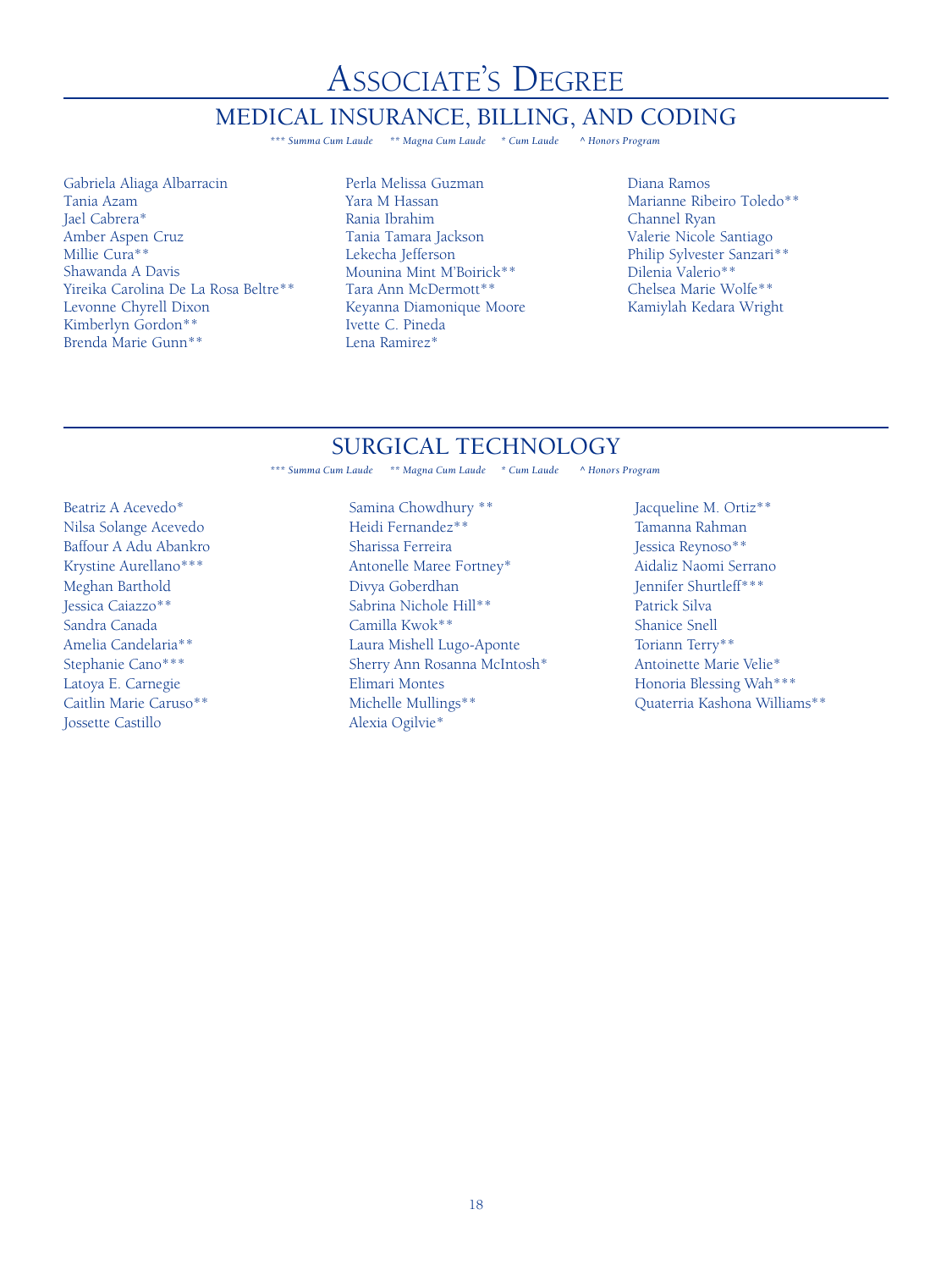Associate's Degree

#### MEDICAL INSURANCE, BILLING, AND CODING

*\*\*\* Summa Cum Laude \*\* Magna Cum Laude \* Cum Laude ^ Honors Program*

Gabriela Aliaga Albarracin Tania Azam Jael Cabrera\* Amber Aspen Cruz Millie Cura\*\* Shawanda A Davis Yireika Carolina De La Rosa Beltre\*\* Levonne Chyrell Dixon Kimberlyn Gordon\*\* Brenda Marie Gunn\*\*

- Perla Melissa Guzman Yara M Hassan Rania Ibrahim Tania Tamara Jackson Lekecha Jefferson Mounina Mint M'Boirick\*\* Tara Ann McDermott\*\* Keyanna Diamonique Moore Ivette C. Pineda Lena Ramirez\*
- Diana Ramos Marianne Ribeiro Toledo\*\* Channel Ryan Valerie Nicole Santiago Philip Sylvester Sanzari\*\* Dilenia Valerio\*\* Chelsea Marie Wolfe\*\* Kamiylah Kedara Wright

### SURGICAL TECHNOLOGY

*\*\*\* Summa Cum Laude \*\* Magna Cum Laude \* Cum Laude ^ Honors Program*

Beatriz A Acevedo\* Nilsa Solange Acevedo Baffour A Adu Abankro Krystine Aurellano\*\*\* Meghan Barthold Jessica Caiazzo\*\* Sandra Canada Amelia Candelaria\*\* Stephanie Cano\*\*\* Latoya E. Carnegie Caitlin Marie Caruso\*\* Jossette Castillo

Samina Chowdhury \*\* Heidi Fernandez\*\* Sharissa Ferreira Antonelle Maree Fortney\* Divya Goberdhan Sabrina Nichole Hill\*\* Camilla Kwok\*\* Laura Mishell Lugo-Aponte Sherry Ann Rosanna McIntosh\* Elimari Montes Michelle Mullings\*\* Alexia Ogilvie\*

Jacqueline M. Ortiz\*\* Tamanna Rahman Jessica Reynoso\*\* Aidaliz Naomi Serrano Jennifer Shurtleff\*\*\* Patrick Silva Shanice Snell Toriann Terry\*\* Antoinette Marie Velie\* Honoria Blessing Wah\*\*\* Quaterria Kashona Williams\*\*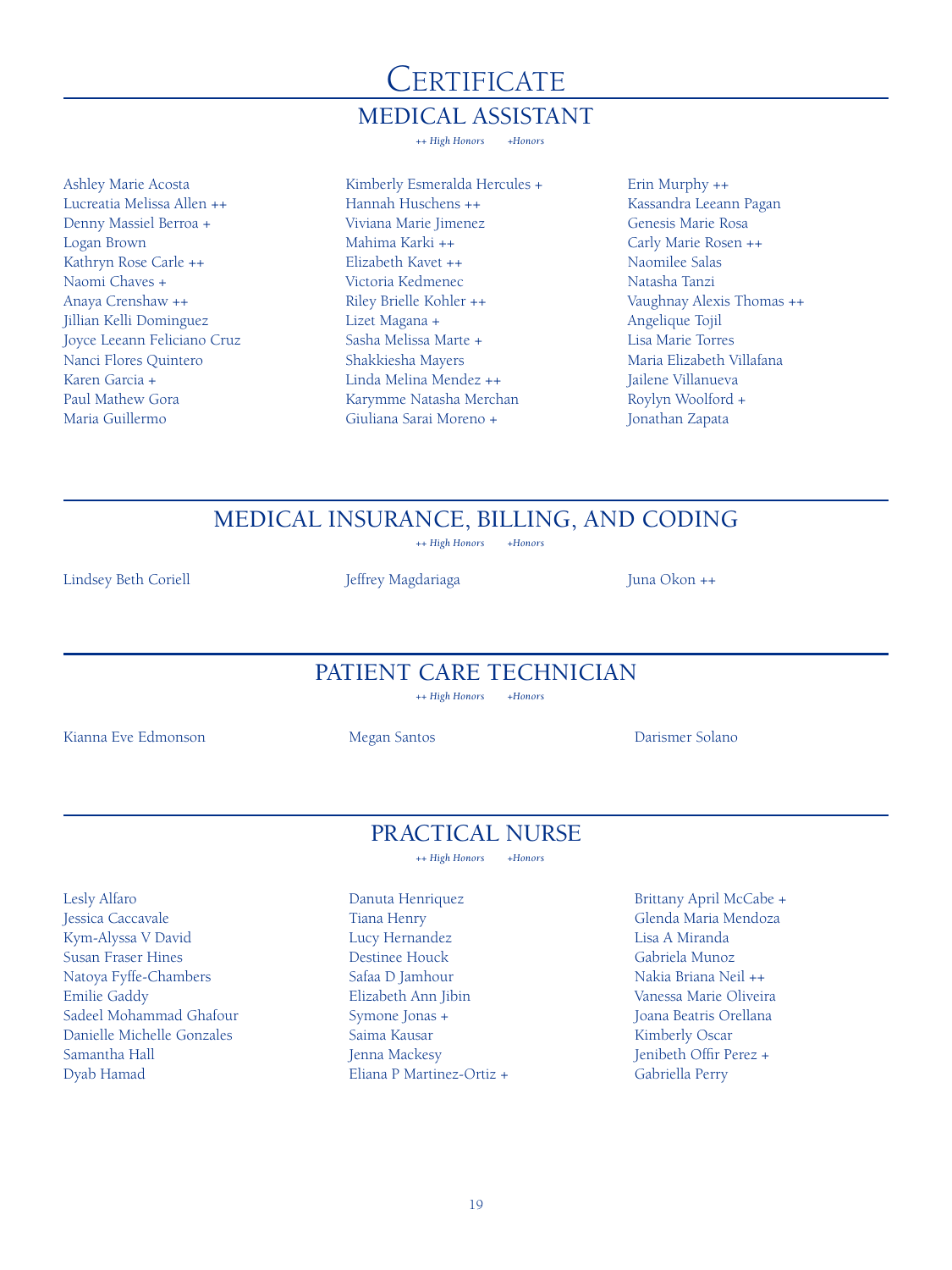# **CERTIFICATE** MEDICAL ASSISTANT

*++ High Honors +Honors*

Ashley Marie Acosta Lucreatia Melissa Allen ++ Denny Massiel Berroa + Logan Brown Kathryn Rose Carle ++ Naomi Chaves + Anaya Crenshaw ++ Jillian Kelli Dominguez Joyce Leeann Feliciano Cruz Nanci Flores Quintero Karen Garcia + Paul Mathew Gora Maria Guillermo

Kimberly Esmeralda Hercules + Hannah Huschens ++ Viviana Marie Jimenez Mahima Karki ++ Elizabeth Kavet ++ Victoria Kedmenec Riley Brielle Kohler ++ Lizet Magana + Sasha Melissa Marte + Shakkiesha Mayers Linda Melina Mendez ++ Karymme Natasha Merchan Giuliana Sarai Moreno +

Erin Murphy ++ Kassandra Leeann Pagan Genesis Marie Rosa Carly Marie Rosen ++ Naomilee Salas Natasha Tanzi Vaughnay Alexis Thomas ++ Angelique Tojil Lisa Marie Torres Maria Elizabeth Villafana Jailene Villanueva Roylyn Woolford + Jonathan Zapata

MEDICAL INSURANCE, BILLING, AND CODING

*++ High Honors +Honors*

Lindsey Beth Coriell Jeffrey Magdariaga Juna Okon ++

PATIENT CARE TECHNICIAN

*++ High Honors +Honors*

Kianna Eve Edmonson Megan Santos Darismer Solano

### PRACTICAL NURSE

*++ High Honors +Honors*

Lesly Alfaro Jessica Caccavale Kym-Alyssa V David Susan Fraser Hines Natoya Fyffe-Chambers Emilie Gaddy Sadeel Mohammad Ghafour Danielle Michelle Gonzales Samantha Hall Dyab Hamad

Danuta Henriquez Tiana Henry Lucy Hernandez Destinee Houck Safaa D Jamhour Elizabeth Ann Jibin Symone Jonas + Saima Kausar Jenna Mackesy Eliana P Martinez-Ortiz +

Brittany April McCabe + Glenda Maria Mendoza Lisa A Miranda Gabriela Munoz Nakia Briana Neil ++ Vanessa Marie Oliveira Joana Beatris Orellana Kimberly Oscar Jenibeth Offir Perez + Gabriella Perry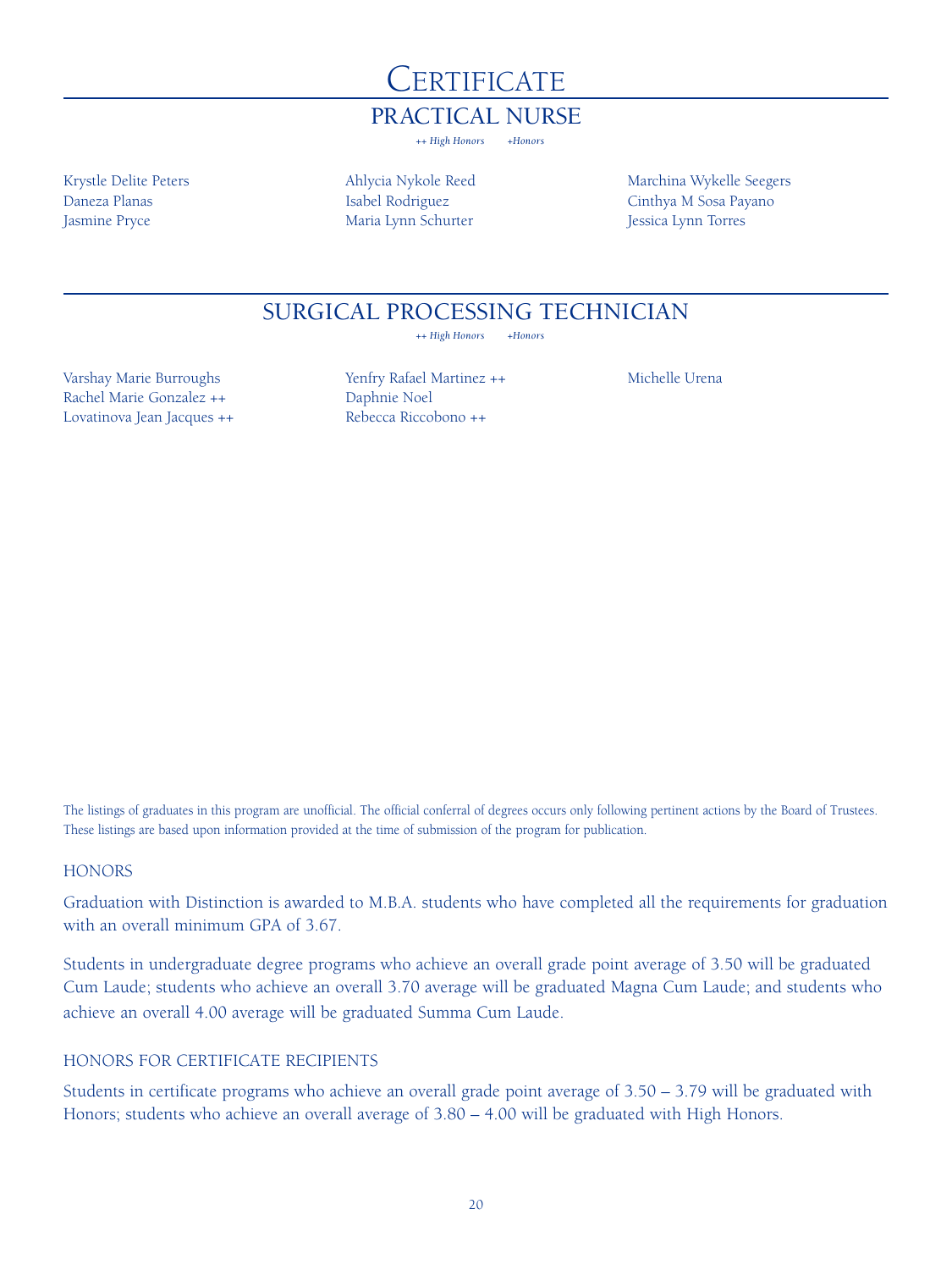

### PRACTICAL NURSE

*++ High Honors +Honors*

Krystle Delite Peters Daneza Planas Jasmine Pryce

Ahlycia Nykole Reed Isabel Rodriguez Maria Lynn Schurter

Marchina Wykelle Seegers Cinthya M Sosa Payano Jessica Lynn Torres

### SURGICAL PROCESSING TECHNICIAN

*++ High Honors +Honors*

Varshay Marie Burroughs Rachel Marie Gonzalez ++ Lovatinova Jean Jacques ++ Yenfry Rafael Martinez ++ Daphnie Noel Rebecca Riccobono ++

Michelle Urena

The listings of graduates in this program are unofficial. The official conferral of degrees occurs only following pertinent actions by the Board of Trustees. These listings are based upon information provided at the time of submission of the program for publication.

#### **HONORS**

Graduation with Distinction is awarded to M.B.A. students who have completed all the requirements for graduation with an overall minimum GPA of 3.67.

Students in undergraduate degree programs who achieve an overall grade point average of 3.50 will be graduated Cum Laude; students who achieve an overall 3.70 average will be graduated Magna Cum Laude; and students who achieve an overall 4.00 average will be graduated Summa Cum Laude.

#### HONORS FOR CERTIFICATE RECIPIENTS

Students in certificate programs who achieve an overall grade point average of 3.50 – 3.79 will be graduated with Honors; students who achieve an overall average of 3.80 – 4.00 will be graduated with High Honors.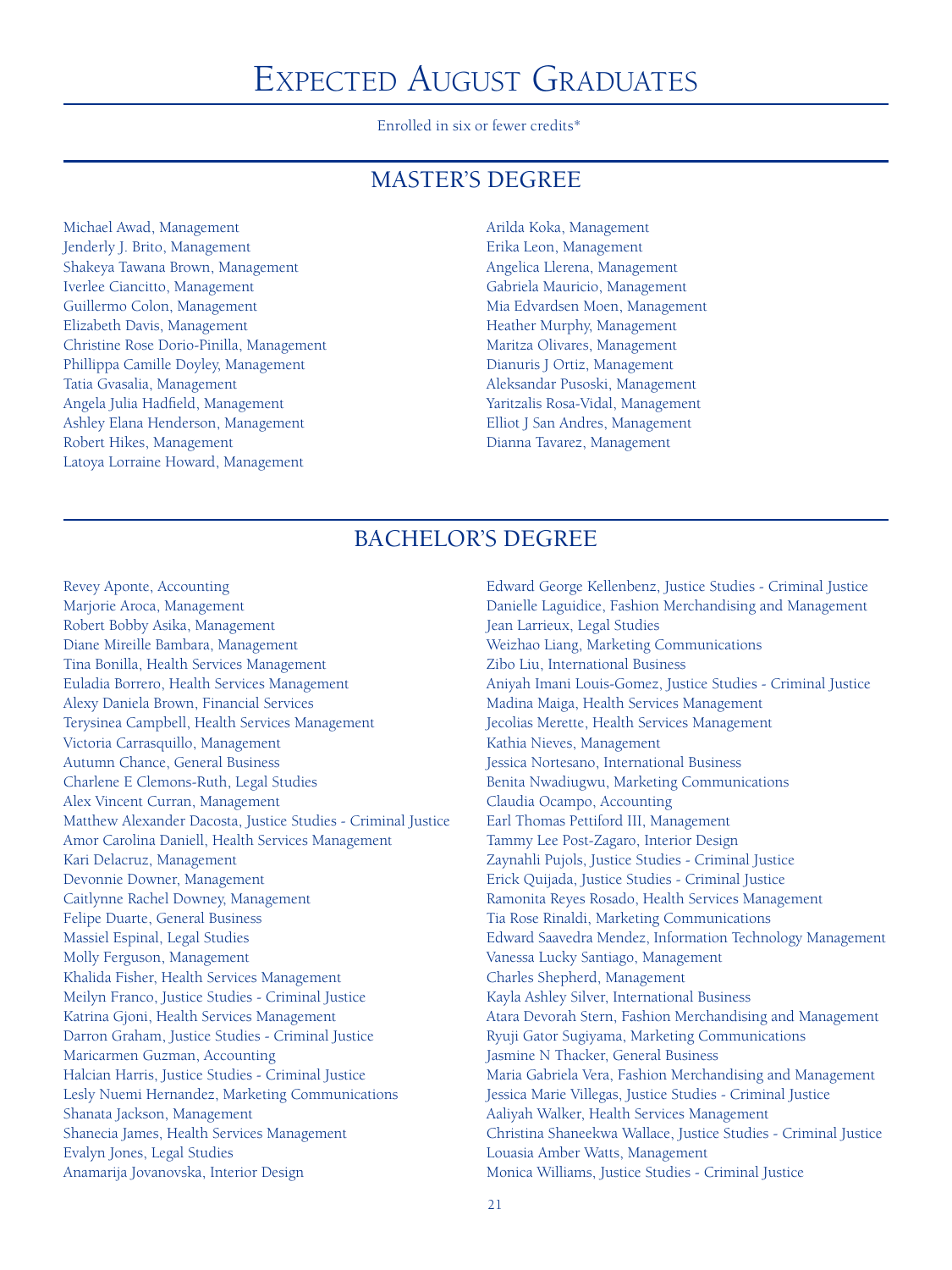# EXPECTED AUGUST GRADUATES

Enrolled in six or fewer credits\*

### **MASTER'S DEGREE**

Michael Awad, Management Jenderly J. Brito, Management Shakeya Tawana Brown, Management Iverlee Ciancitto, Management Guillermo Colon, Management Elizabeth Davis, Management Christine Rose Dorio-Pinilla, Management Phillippa Camille Doyley, Management Tatia Gvasalia, Management Angela Julia Hadfield, Management Ashley Elana Henderson, Management Robert Hikes, Management Latoya Lorraine Howard, Management

Arilda Koka, Management Erika Leon, Management Angelica Llerena, Management Gabriela Mauricio, Management Mia Edvardsen Moen, Management Heather Murphy, Management Maritza Olivares, Management Dianuris J Ortiz, Management Aleksandar Pusoski, Management Yaritzalis Rosa-Vidal, Management Elliot J San Andres, Management Dianna Tavarez, Management

### BACHELOR'S DEGREE

Revey Aponte, Accounting Marjorie Aroca, Management Robert Bobby Asika, Management Diane Mireille Bambara, Management Tina Bonilla, Health Services Management Euladia Borrero, Health Services Management Alexy Daniela Brown, Financial Services Terysinea Campbell, Health Services Management Victoria Carrasquillo, Management Autumn Chance, General Business Charlene E Clemons-Ruth, Legal Studies Alex Vincent Curran, Management Matthew Alexander Dacosta, Justice Studies - Criminal Justice Amor Carolina Daniell, Health Services Management Kari Delacruz, Management Devonnie Downer, Management Caitlynne Rachel Downey, Management Felipe Duarte, General Business Massiel Espinal, Legal Studies Molly Ferguson, Management Khalida Fisher, Health Services Management Meilyn Franco, Justice Studies - Criminal Justice Katrina Gjoni, Health Services Management Darron Graham, Justice Studies - Criminal Justice Maricarmen Guzman, Accounting Halcian Harris, Justice Studies - Criminal Justice Lesly Nuemi Hernandez, Marketing Communications Shanata Jackson, Management Shanecia James, Health Services Management Evalyn Jones, Legal Studies Anamarija Jovanovska, Interior Design

Edward George Kellenbenz, Justice Studies - Criminal Justice Danielle Laguidice, Fashion Merchandising and Management Jean Larrieux, Legal Studies Weizhao Liang, Marketing Communications Zibo Liu, International Business Aniyah Imani Louis-Gomez, Justice Studies - Criminal Justice Madina Maiga, Health Services Management Jecolias Merette, Health Services Management Kathia Nieves, Management Jessica Nortesano, International Business Benita Nwadiugwu, Marketing Communications Claudia Ocampo, Accounting Earl Thomas Pettiford III, Management Tammy Lee Post-Zagaro, Interior Design Zaynahli Pujols, Justice Studies - Criminal Justice Erick Quijada, Justice Studies - Criminal Justice Ramonita Reyes Rosado, Health Services Management Tia Rose Rinaldi, Marketing Communications Edward Saavedra Mendez, Information Technology Management Vanessa Lucky Santiago, Management Charles Shepherd, Management Kayla Ashley Silver, International Business Atara Devorah Stern, Fashion Merchandising and Management Ryuji Gator Sugiyama, Marketing Communications Jasmine N Thacker, General Business Maria Gabriela Vera, Fashion Merchandising and Management Jessica Marie Villegas, Justice Studies - Criminal Justice Aaliyah Walker, Health Services Management Christina Shaneekwa Wallace, Justice Studies - Criminal Justice Louasia Amber Watts, Management Monica Williams, Justice Studies - Criminal Justice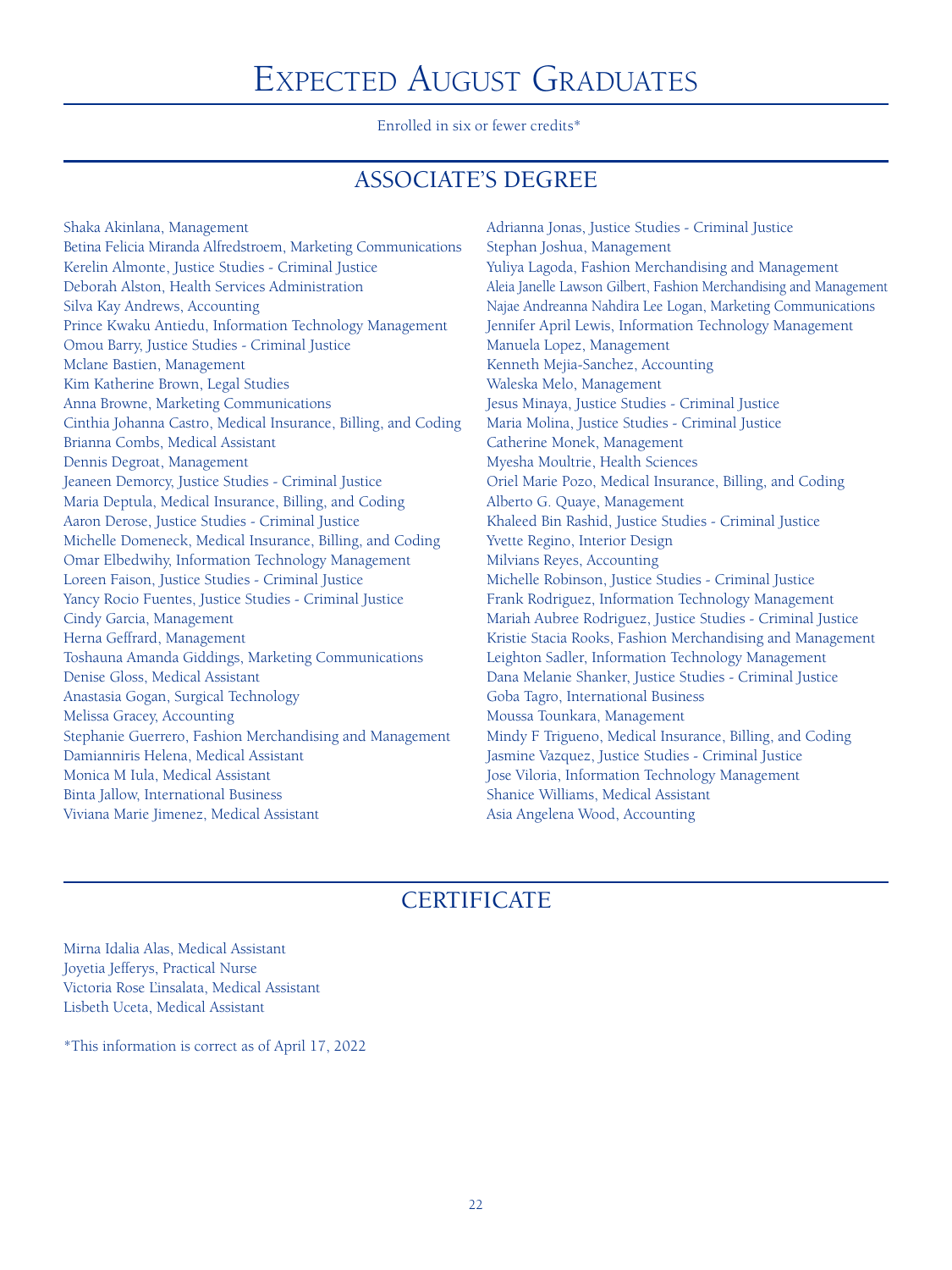# Expected August Graduates

Enrolled in six or fewer credits\*

# ASSOCIATE'S DEGREE

Shaka Akinlana, Management Betina Felicia Miranda Alfredstroem, Marketing Communications Kerelin Almonte, Justice Studies - Criminal Justice Deborah Alston, Health Services Administration Silva Kay Andrews, Accounting Prince Kwaku Antiedu, Information Technology Management Omou Barry, Justice Studies - Criminal Justice Mclane Bastien, Management Kim Katherine Brown, Legal Studies Anna Browne, Marketing Communications Cinthia Johanna Castro, Medical Insurance, Billing, and Coding Brianna Combs, Medical Assistant Dennis Degroat, Management Jeaneen Demorcy, Justice Studies - Criminal Justice Maria Deptula, Medical Insurance, Billing, and Coding Aaron Derose, Justice Studies - Criminal Justice Michelle Domeneck, Medical Insurance, Billing, and Coding Omar Elbedwihy, Information Technology Management Loreen Faison, Justice Studies - Criminal Justice Yancy Rocio Fuentes, Justice Studies - Criminal Justice Cindy Garcia, Management Herna Geffrard, Management Toshauna Amanda Giddings, Marketing Communications Denise Gloss, Medical Assistant Anastasia Gogan, Surgical Technology Melissa Gracey, Accounting Stephanie Guerrero, Fashion Merchandising and Management Damianniris Helena, Medical Assistant Monica M Iula, Medical Assistant Binta Jallow, International Business Viviana Marie Jimenez, Medical Assistant

Adrianna Jonas, Justice Studies - Criminal Justice Stephan Joshua, Management Yuliya Lagoda, Fashion Merchandising and Management Aleia Janelle Lawson Gilbert, Fashion Merchandising and Management Najae Andreanna Nahdira Lee Logan, Marketing Communications Jennifer April Lewis, Information Technology Management Manuela Lopez, Management Kenneth Mejia-Sanchez, Accounting Waleska Melo, Management Jesus Minaya, Justice Studies - Criminal Justice Maria Molina, Justice Studies - Criminal Justice Catherine Monek, Management Myesha Moultrie, Health Sciences Oriel Marie Pozo, Medical Insurance, Billing, and Coding Alberto G. Quaye, Management Khaleed Bin Rashid, Justice Studies - Criminal Justice Yvette Regino, Interior Design Milvians Reyes, Accounting Michelle Robinson, Justice Studies - Criminal Justice Frank Rodriguez, Information Technology Management Mariah Aubree Rodriguez, Justice Studies - Criminal Justice Kristie Stacia Rooks, Fashion Merchandising and Management Leighton Sadler, Information Technology Management Dana Melanie Shanker, Justice Studies - Criminal Justice Goba Tagro, International Business Moussa Tounkara, Management Mindy F Trigueno, Medical Insurance, Billing, and Coding Jasmine Vazquez, Justice Studies - Criminal Justice Jose Viloria, Information Technology Management Shanice Williams, Medical Assistant Asia Angelena Wood, Accounting

# **CERTIFICATE**

Mirna Idalia Alas, Medical Assistant Joyetia Jefferys, Practical Nurse Victoria Rose L'insalata, Medical Assistant Lisbeth Uceta, Medical Assistant

\*This information is correct as of April 17, 2022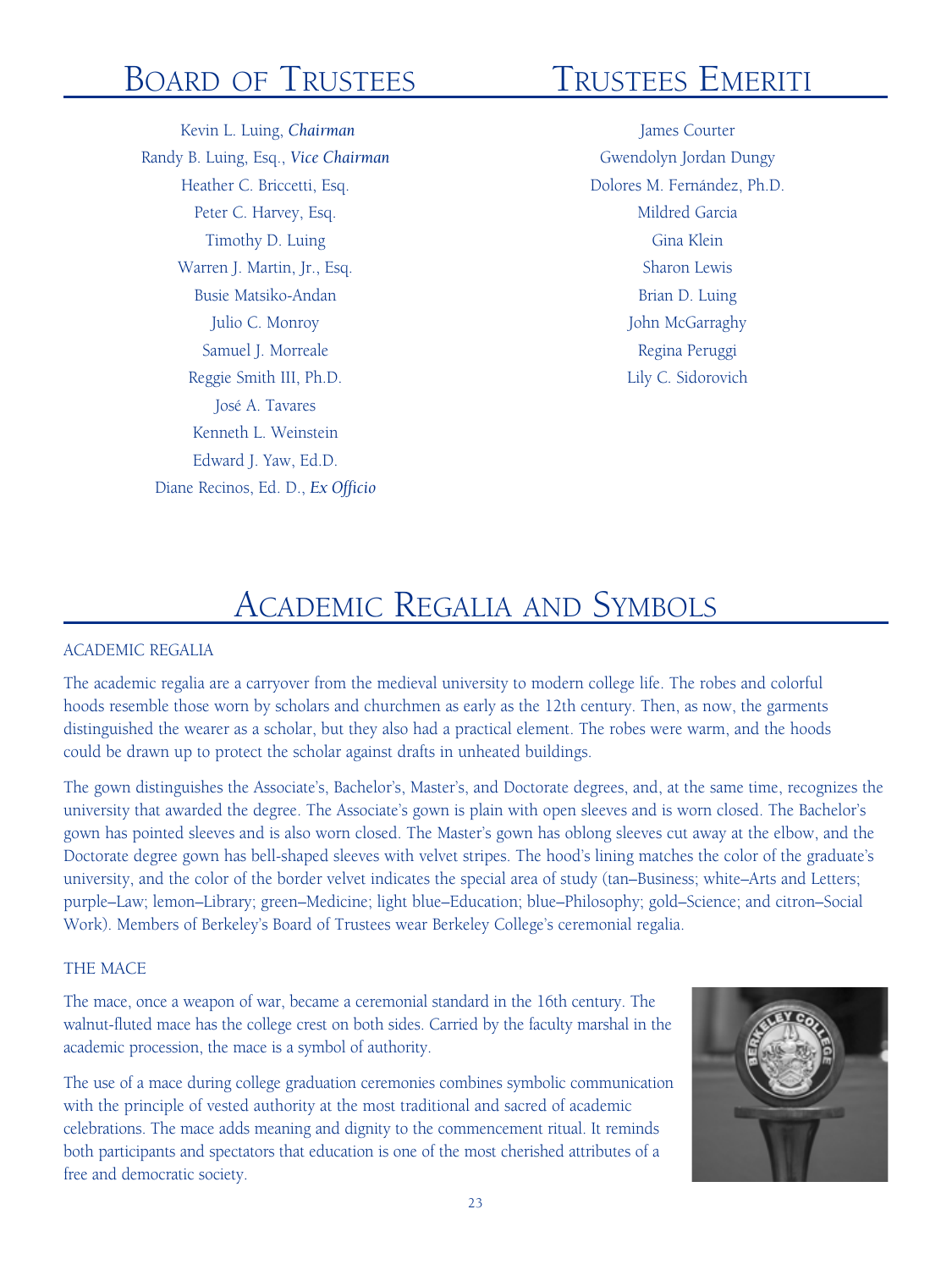# Board of Trustees

 Kevin L. Luing, *Chairman* Randy B. Luing, Esq., *Vice Chairman* Heather C. Briccetti, Esq. Peter C. Harvey, Esq. Timothy D. Luing Warren J. Martin, Jr., Esq. Busie Matsiko-Andan Julio C. Monroy Samuel J. Morreale Reggie Smith III, Ph.D. José A. Tavares Kenneth L. Weinstein Edward J. Yaw, Ed.D. Diane Recinos, Ed. D., *Ex Officio*

# Trustees Emeriti

James Courter Gwendolyn Jordan Dungy Dolores M. Fernández, Ph.D. Mildred Garcia Gina Klein Sharon Lewis Brian D. Luing John McGarraghy Regina Peruggi Lily C. Sidorovich

# Academic Regalia and Symbols

#### ACADEMIC REGALIA

The academic regalia are a carryover from the medieval university to modern college life. The robes and colorful hoods resemble those worn by scholars and churchmen as early as the 12th century. Then, as now, the garments distinguished the wearer as a scholar, but they also had a practical element. The robes were warm, and the hoods could be drawn up to protect the scholar against drafts in unheated buildings.

The gown distinguishes the Associate's, Bachelor's, Master's, and Doctorate degrees, and, at the same time, recognizes the university that awarded the degree. The Associate's gown is plain with open sleeves and is worn closed. The Bachelor's gown has pointed sleeves and is also worn closed. The Master's gown has oblong sleeves cut away at the elbow, and the Doctorate degree gown has bell-shaped sleeves with velvet stripes. The hood's lining matches the color of the graduate's university, and the color of the border velvet indicates the special area of study (tan–Business; white–Arts and Letters; purple–Law; lemon–Library; green–Medicine; light blue–Education; blue–Philosophy; gold–Science; and citron–Social Work). Members of Berkeley's Board of Trustees wear Berkeley College's ceremonial regalia.

#### THE MACE

The mace, once a weapon of war, became a ceremonial standard in the 16th century. The walnut-fluted mace has the college crest on both sides. Carried by the faculty marshal in the academic procession, the mace is a symbol of authority.

The use of a mace during college graduation ceremonies combines symbolic communication with the principle of vested authority at the most traditional and sacred of academic celebrations. The mace adds meaning and dignity to the commencement ritual. It reminds both participants and spectators that education is one of the most cherished attributes of a free and democratic society.

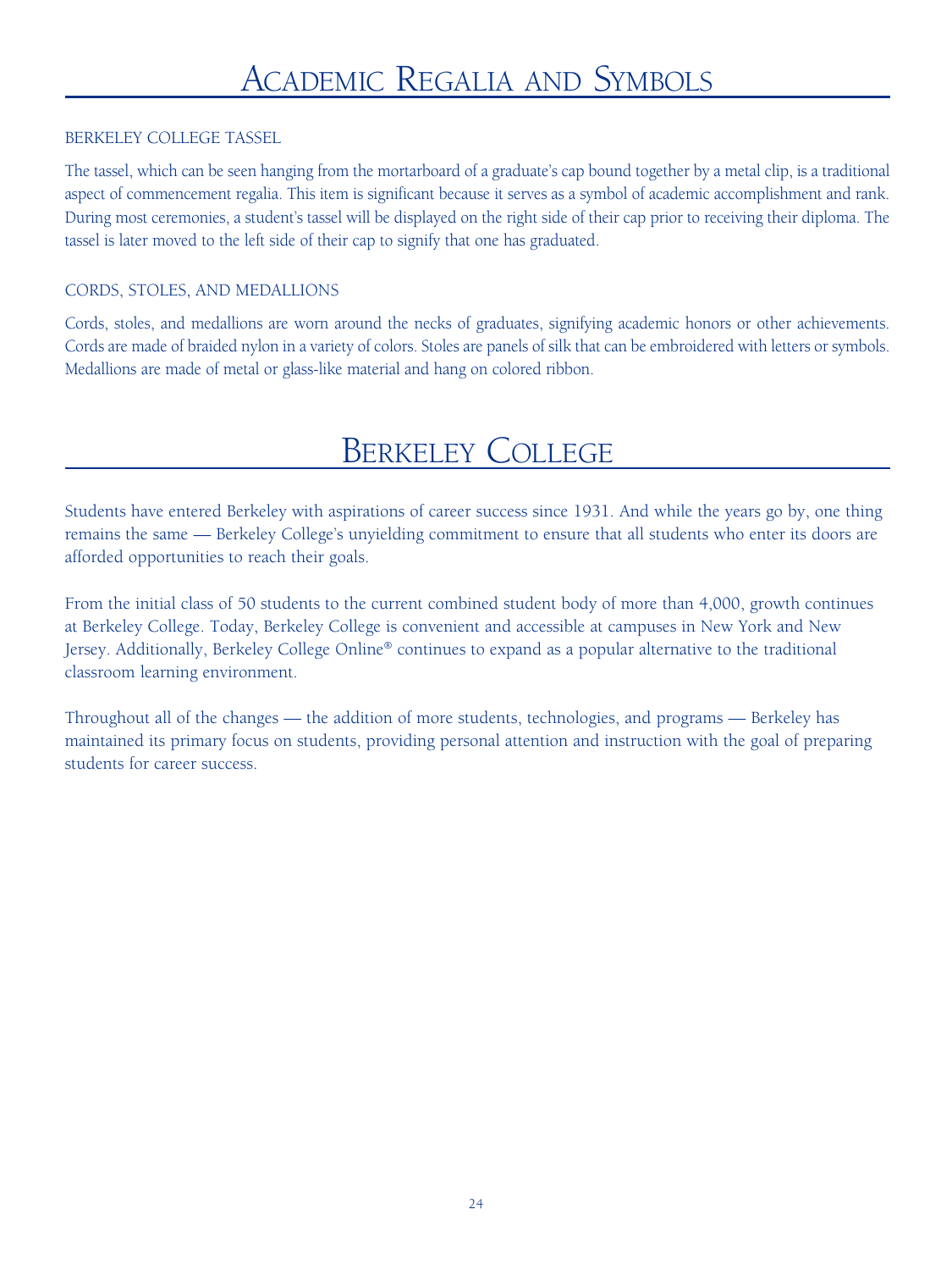#### BERKELEY COLLEGE TASSEL

The tassel, which can be seen hanging from the mortarboard of a graduate's cap bound together by a metal clip, is a traditional aspect of commencement regalia. This item is significant because it serves as a symbol of academic accomplishment and rank. During most ceremonies, a student's tassel will be displayed on the right side of their cap prior to receiving their diploma. The tassel is later moved to the left side of their cap to signify that one has graduated.

#### CORDS, STOLES, AND MEDALLIONS

Cords, stoles, and medallions are worn around the necks of graduates, signifying academic honors or other achievements. Cords are made of braided nylon in a variety of colors. Stoles are panels of silk that can be embroidered with letters or symbols. Medallions are made of metal or glass-like material and hang on colored ribbon.

# Berkeley College

Students have entered Berkeley with aspirations of career success since 1931. And while the years go by, one thing remains the same — Berkeley College's unyielding commitment to ensure that all students who enter its doors are afforded opportunities to reach their goals.

From the initial class of 50 students to the current combined student body of more than 4,000, growth continues at Berkeley College. Today, Berkeley College is convenient and accessible at campuses in New York and New Jersey. Additionally, Berkeley College Online® continues to expand as a popular alternative to the traditional classroom learning environment.

Throughout all of the changes — the addition of more students, technologies, and programs — Berkeley has maintained its primary focus on students, providing personal attention and instruction with the goal of preparing students for career success.